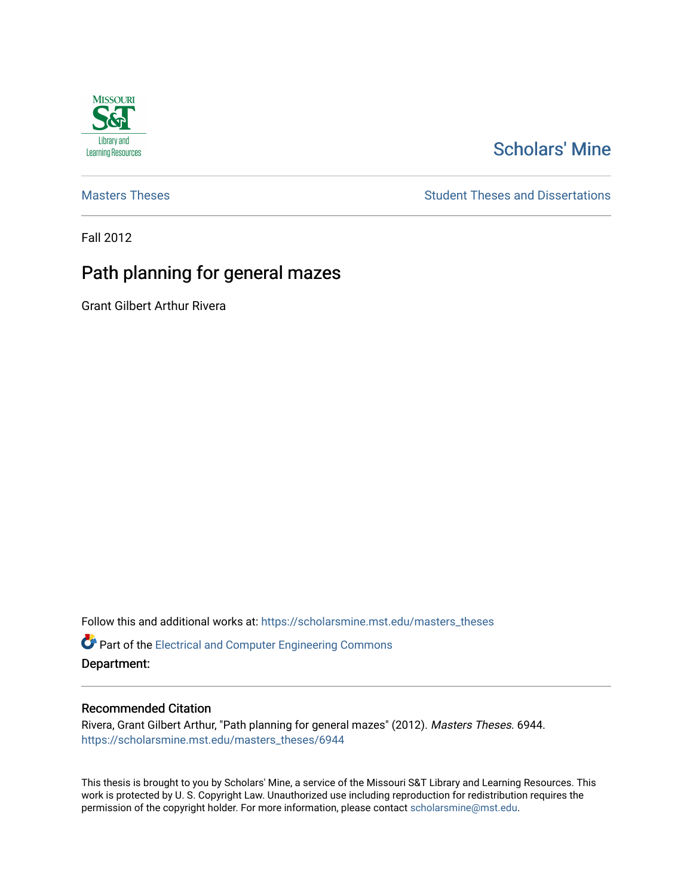

# [Scholars' Mine](https://scholarsmine.mst.edu/)

[Masters Theses](https://scholarsmine.mst.edu/masters_theses) **Student Theses and Dissertations** Student Theses and Dissertations

Fall 2012

# Path planning for general mazes

Grant Gilbert Arthur Rivera

Follow this and additional works at: [https://scholarsmine.mst.edu/masters\\_theses](https://scholarsmine.mst.edu/masters_theses?utm_source=scholarsmine.mst.edu%2Fmasters_theses%2F6944&utm_medium=PDF&utm_campaign=PDFCoverPages) 

**P** Part of the Electrical and Computer Engineering Commons Department:

### Recommended Citation

Rivera, Grant Gilbert Arthur, "Path planning for general mazes" (2012). Masters Theses. 6944. [https://scholarsmine.mst.edu/masters\\_theses/6944](https://scholarsmine.mst.edu/masters_theses/6944?utm_source=scholarsmine.mst.edu%2Fmasters_theses%2F6944&utm_medium=PDF&utm_campaign=PDFCoverPages) 

This thesis is brought to you by Scholars' Mine, a service of the Missouri S&T Library and Learning Resources. This work is protected by U. S. Copyright Law. Unauthorized use including reproduction for redistribution requires the permission of the copyright holder. For more information, please contact [scholarsmine@mst.edu](mailto:scholarsmine@mst.edu).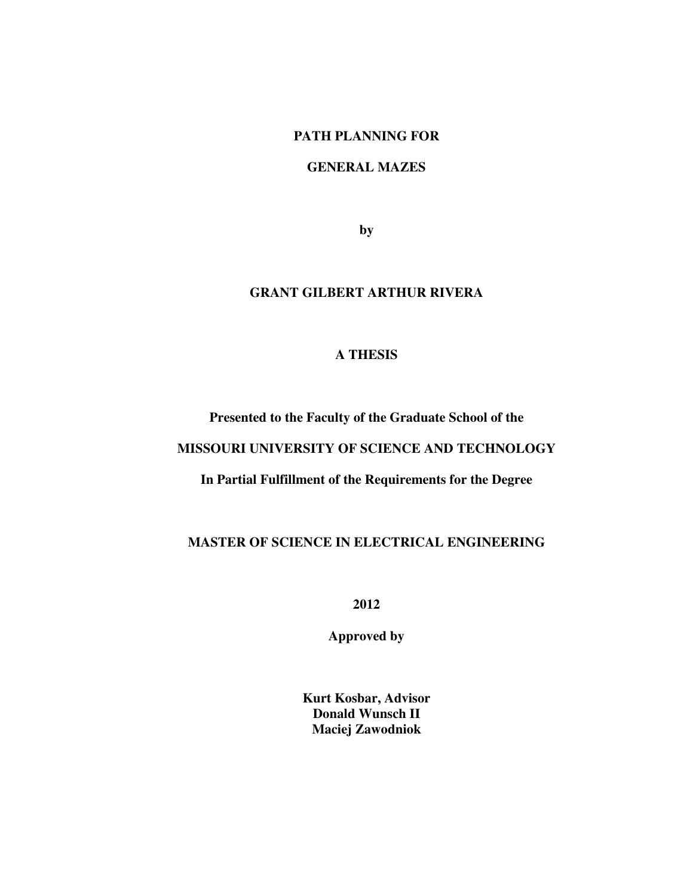## **PATH PLANNING FOR**

### **GENERAL MAZES**

**by** 

# **GRANT GILBERT ARTHUR RIVERA**

# **A THESIS**

# **Presented to the Faculty of the Graduate School of the**

# **MISSOURI UNIVERSITY OF SCIENCE AND TECHNOLOGY**

# **In Partial Fulfillment of the Requirements for the Degree**

# **MASTER OF SCIENCE IN ELECTRICAL ENGINEERING**

**2012** 

**Approved by** 

**Kurt Kosbar, Advisor Donald Wunsch II Maciej Zawodniok**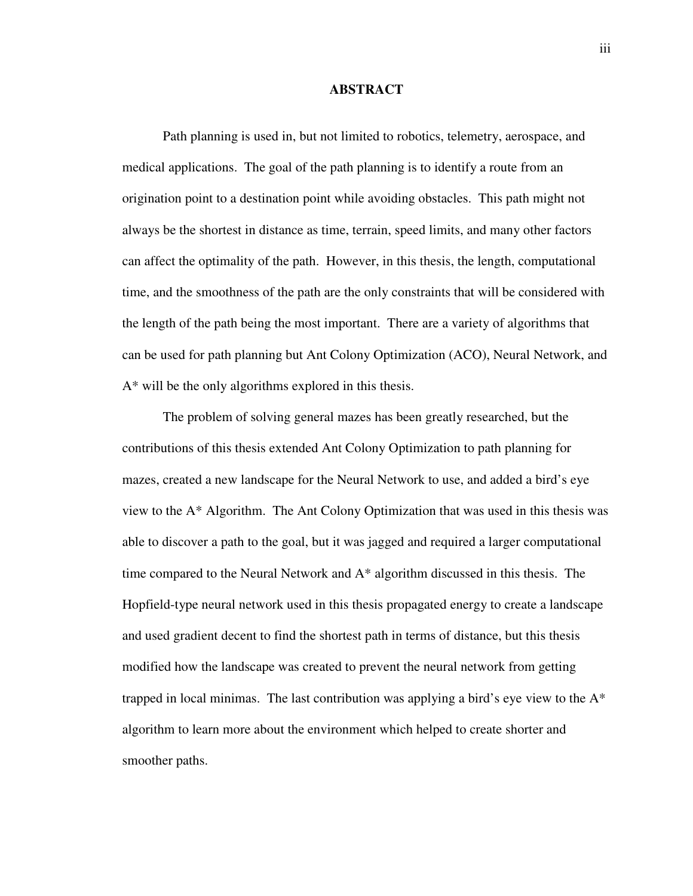#### **ABSTRACT**

Path planning is used in, but not limited to robotics, telemetry, aerospace, and medical applications. The goal of the path planning is to identify a route from an origination point to a destination point while avoiding obstacles. This path might not always be the shortest in distance as time, terrain, speed limits, and many other factors can affect the optimality of the path. However, in this thesis, the length, computational time, and the smoothness of the path are the only constraints that will be considered with the length of the path being the most important. There are a variety of algorithms that can be used for path planning but Ant Colony Optimization (ACO), Neural Network, and A\* will be the only algorithms explored in this thesis.

The problem of solving general mazes has been greatly researched, but the contributions of this thesis extended Ant Colony Optimization to path planning for mazes, created a new landscape for the Neural Network to use, and added a bird's eye view to the A\* Algorithm. The Ant Colony Optimization that was used in this thesis was able to discover a path to the goal, but it was jagged and required a larger computational time compared to the Neural Network and A\* algorithm discussed in this thesis. The Hopfield-type neural network used in this thesis propagated energy to create a landscape and used gradient decent to find the shortest path in terms of distance, but this thesis modified how the landscape was created to prevent the neural network from getting trapped in local minimas. The last contribution was applying a bird's eye view to the  $A^*$ algorithm to learn more about the environment which helped to create shorter and smoother paths.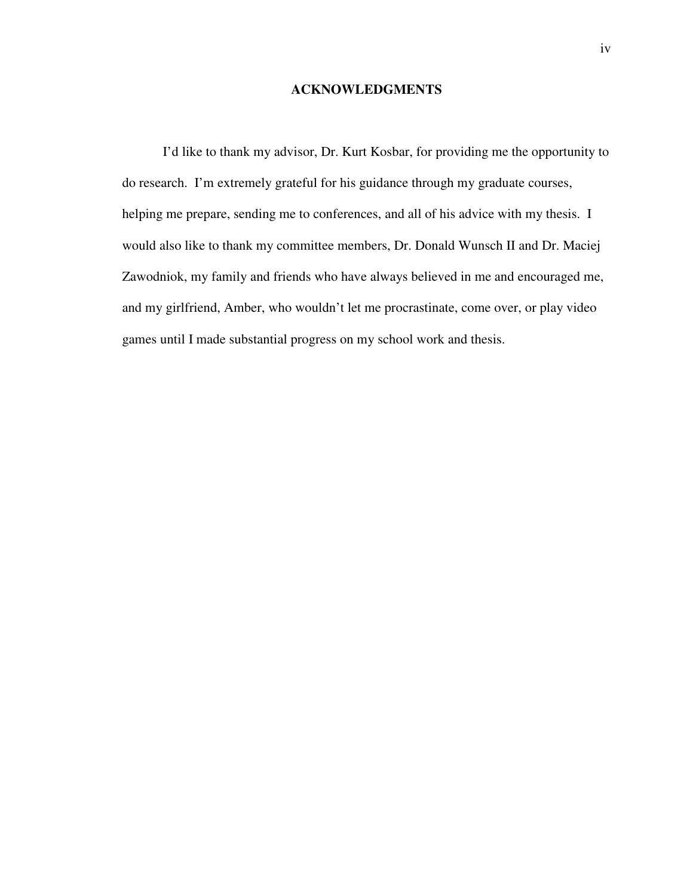### **ACKNOWLEDGMENTS**

I'd like to thank my advisor, Dr. Kurt Kosbar, for providing me the opportunity to do research. I'm extremely grateful for his guidance through my graduate courses, helping me prepare, sending me to conferences, and all of his advice with my thesis. I would also like to thank my committee members, Dr. Donald Wunsch II and Dr. Maciej Zawodniok, my family and friends who have always believed in me and encouraged me, and my girlfriend, Amber, who wouldn't let me procrastinate, come over, or play video games until I made substantial progress on my school work and thesis.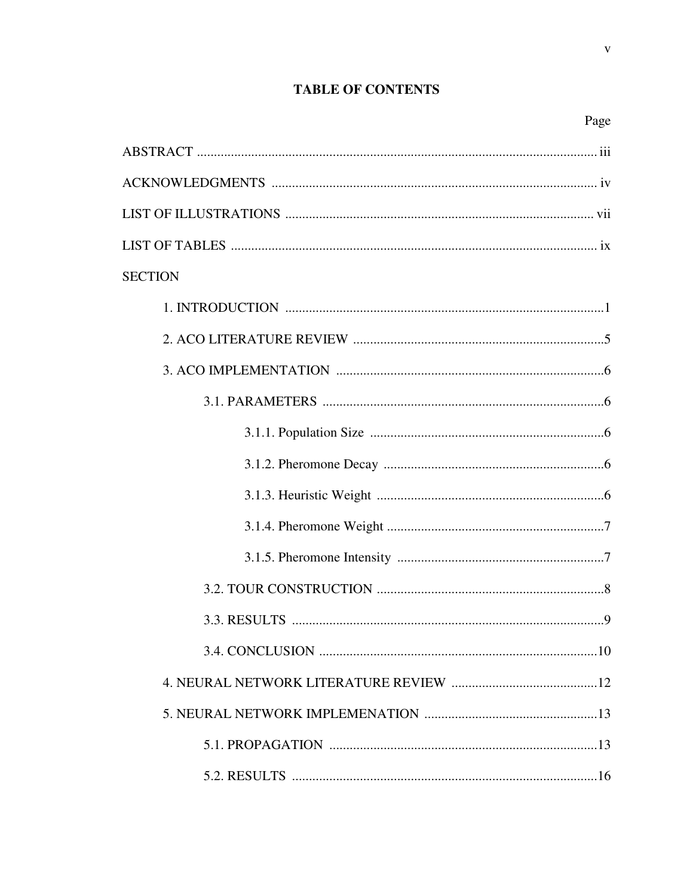# **TABLE OF CONTENTS**

 $\mathbf{V}$ 

| <b>SECTION</b> |
|----------------|
|                |
|                |
|                |
|                |
|                |
|                |
|                |
|                |
|                |
|                |
|                |
|                |
|                |
|                |
|                |
|                |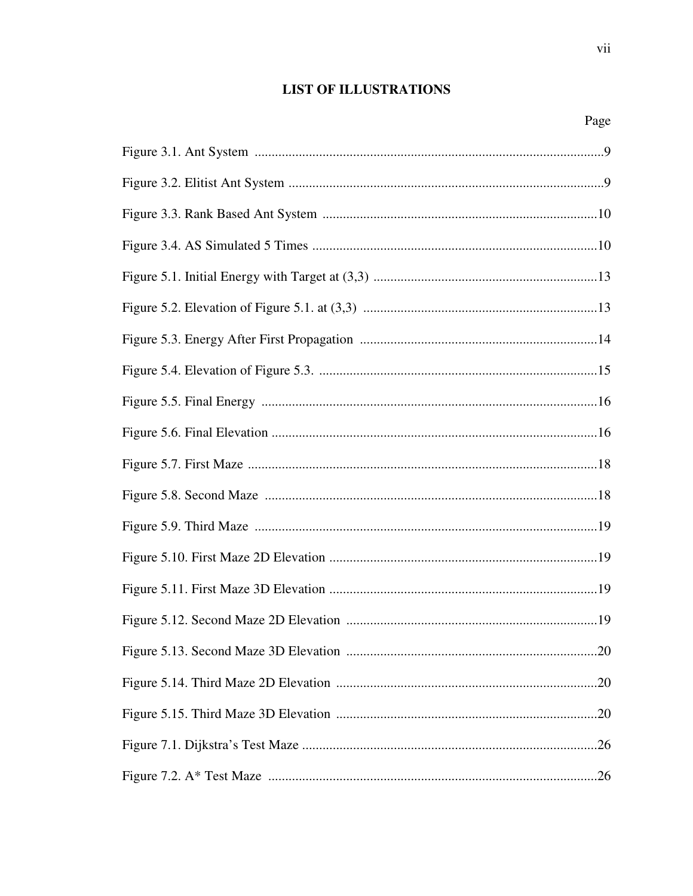# **LIST OF ILLUSTRATIONS**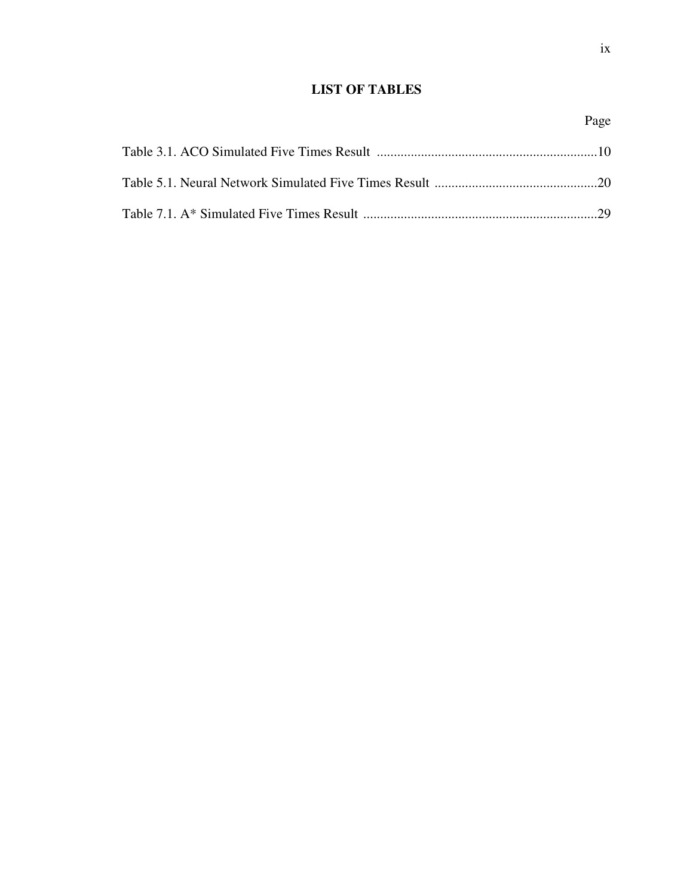# **LIST OF TABLES**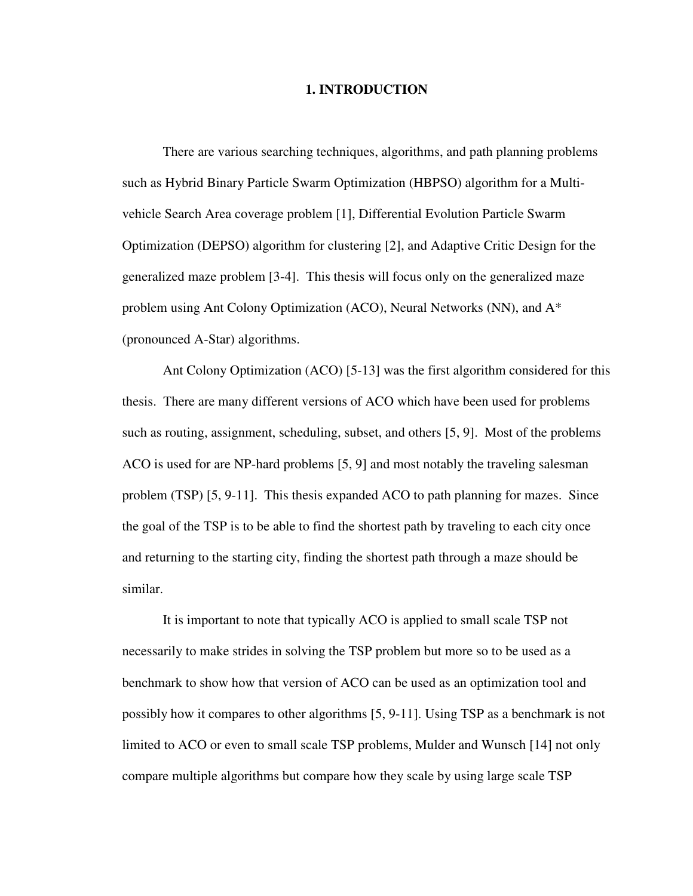#### **1. INTRODUCTION**

There are various searching techniques, algorithms, and path planning problems such as Hybrid Binary Particle Swarm Optimization (HBPSO) algorithm for a Multivehicle Search Area coverage problem [1], Differential Evolution Particle Swarm Optimization (DEPSO) algorithm for clustering [2], and Adaptive Critic Design for the generalized maze problem [3-4]. This thesis will focus only on the generalized maze problem using Ant Colony Optimization (ACO), Neural Networks (NN), and A\* (pronounced A-Star) algorithms.

Ant Colony Optimization (ACO) [5-13] was the first algorithm considered for this thesis. There are many different versions of ACO which have been used for problems such as routing, assignment, scheduling, subset, and others [5, 9]. Most of the problems ACO is used for are NP-hard problems [5, 9] and most notably the traveling salesman problem (TSP) [5, 9-11]. This thesis expanded ACO to path planning for mazes. Since the goal of the TSP is to be able to find the shortest path by traveling to each city once and returning to the starting city, finding the shortest path through a maze should be similar.

It is important to note that typically ACO is applied to small scale TSP not necessarily to make strides in solving the TSP problem but more so to be used as a benchmark to show how that version of ACO can be used as an optimization tool and possibly how it compares to other algorithms [5, 9-11]. Using TSP as a benchmark is not limited to ACO or even to small scale TSP problems, Mulder and Wunsch [14] not only compare multiple algorithms but compare how they scale by using large scale TSP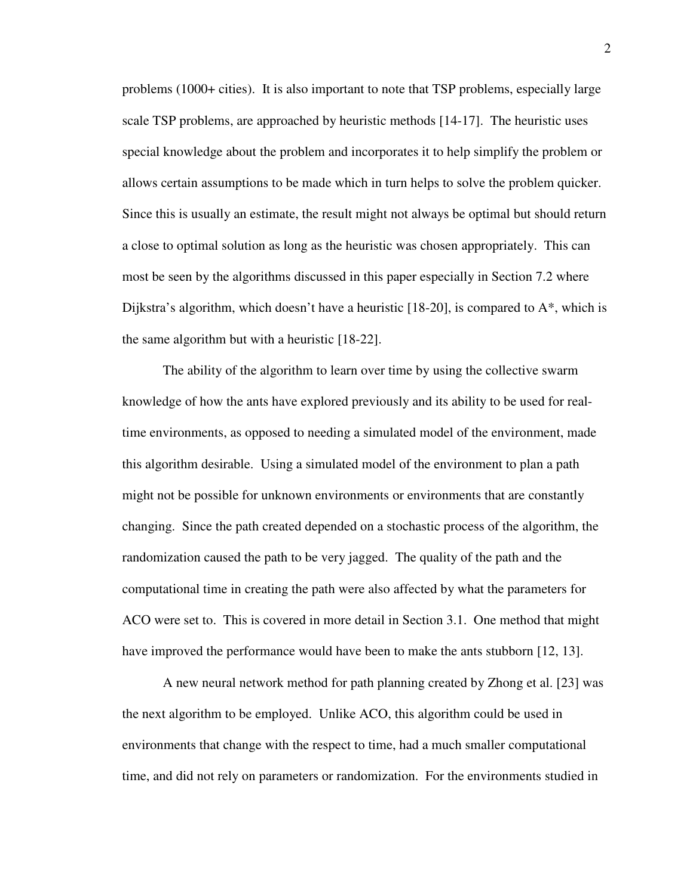problems (1000+ cities). It is also important to note that TSP problems, especially large scale TSP problems, are approached by heuristic methods [14-17]. The heuristic uses special knowledge about the problem and incorporates it to help simplify the problem or allows certain assumptions to be made which in turn helps to solve the problem quicker. Since this is usually an estimate, the result might not always be optimal but should return a close to optimal solution as long as the heuristic was chosen appropriately. This can most be seen by the algorithms discussed in this paper especially in Section 7.2 where Dijkstra's algorithm, which doesn't have a heuristic [18-20], is compared to A\*, which is the same algorithm but with a heuristic [18-22].

The ability of the algorithm to learn over time by using the collective swarm knowledge of how the ants have explored previously and its ability to be used for realtime environments, as opposed to needing a simulated model of the environment, made this algorithm desirable. Using a simulated model of the environment to plan a path might not be possible for unknown environments or environments that are constantly changing. Since the path created depended on a stochastic process of the algorithm, the randomization caused the path to be very jagged. The quality of the path and the computational time in creating the path were also affected by what the parameters for ACO were set to. This is covered in more detail in Section 3.1. One method that might have improved the performance would have been to make the ants stubborn [12, 13].

A new neural network method for path planning created by Zhong et al. [23] was the next algorithm to be employed. Unlike ACO, this algorithm could be used in environments that change with the respect to time, had a much smaller computational time, and did not rely on parameters or randomization. For the environments studied in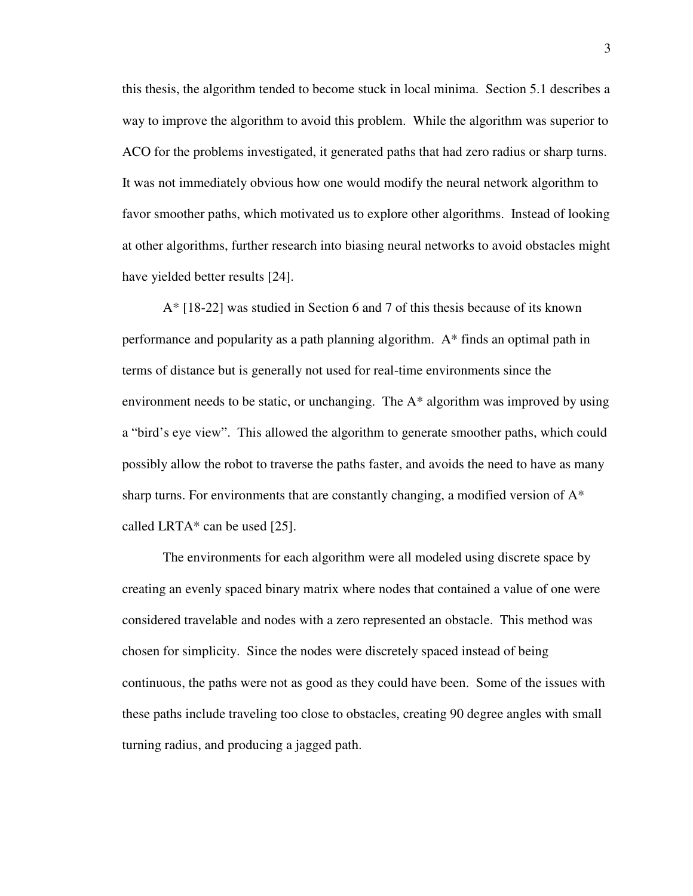this thesis, the algorithm tended to become stuck in local minima. Section 5.1 describes a way to improve the algorithm to avoid this problem. While the algorithm was superior to ACO for the problems investigated, it generated paths that had zero radius or sharp turns. It was not immediately obvious how one would modify the neural network algorithm to favor smoother paths, which motivated us to explore other algorithms. Instead of looking at other algorithms, further research into biasing neural networks to avoid obstacles might have yielded better results [24].

A\* [18-22] was studied in Section 6 and 7 of this thesis because of its known performance and popularity as a path planning algorithm. A\* finds an optimal path in terms of distance but is generally not used for real-time environments since the environment needs to be static, or unchanging. The A\* algorithm was improved by using a "bird's eye view". This allowed the algorithm to generate smoother paths, which could possibly allow the robot to traverse the paths faster, and avoids the need to have as many sharp turns. For environments that are constantly changing, a modified version of  $A^*$ called LRTA\* can be used [25].

The environments for each algorithm were all modeled using discrete space by creating an evenly spaced binary matrix where nodes that contained a value of one were considered travelable and nodes with a zero represented an obstacle. This method was chosen for simplicity. Since the nodes were discretely spaced instead of being continuous, the paths were not as good as they could have been. Some of the issues with these paths include traveling too close to obstacles, creating 90 degree angles with small turning radius, and producing a jagged path.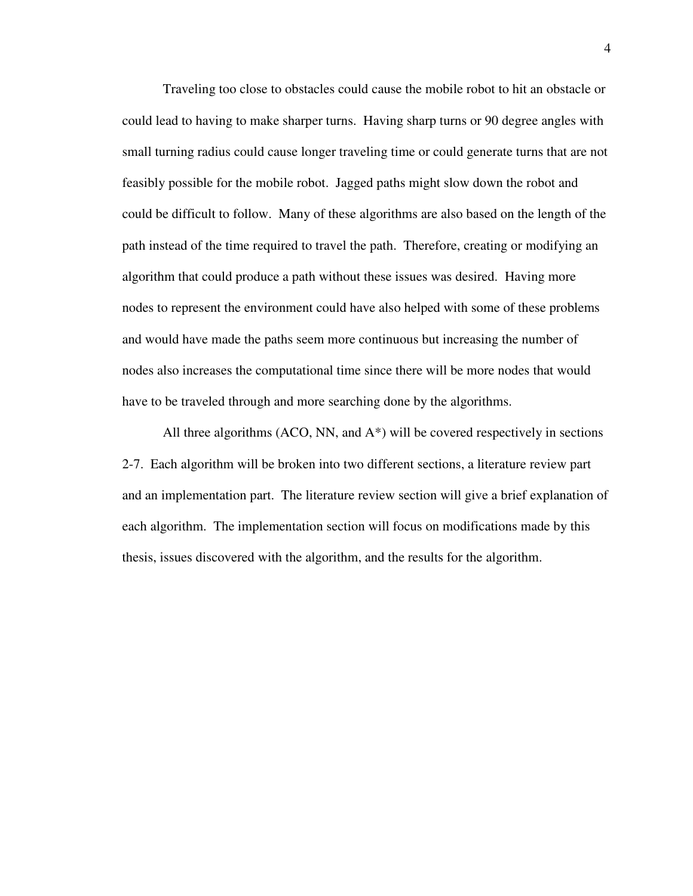Traveling too close to obstacles could cause the mobile robot to hit an obstacle or could lead to having to make sharper turns. Having sharp turns or 90 degree angles with small turning radius could cause longer traveling time or could generate turns that are not feasibly possible for the mobile robot. Jagged paths might slow down the robot and could be difficult to follow. Many of these algorithms are also based on the length of the path instead of the time required to travel the path. Therefore, creating or modifying an algorithm that could produce a path without these issues was desired. Having more nodes to represent the environment could have also helped with some of these problems and would have made the paths seem more continuous but increasing the number of nodes also increases the computational time since there will be more nodes that would have to be traveled through and more searching done by the algorithms.

All three algorithms (ACO, NN, and A\*) will be covered respectively in sections 2-7. Each algorithm will be broken into two different sections, a literature review part and an implementation part. The literature review section will give a brief explanation of each algorithm. The implementation section will focus on modifications made by this thesis, issues discovered with the algorithm, and the results for the algorithm.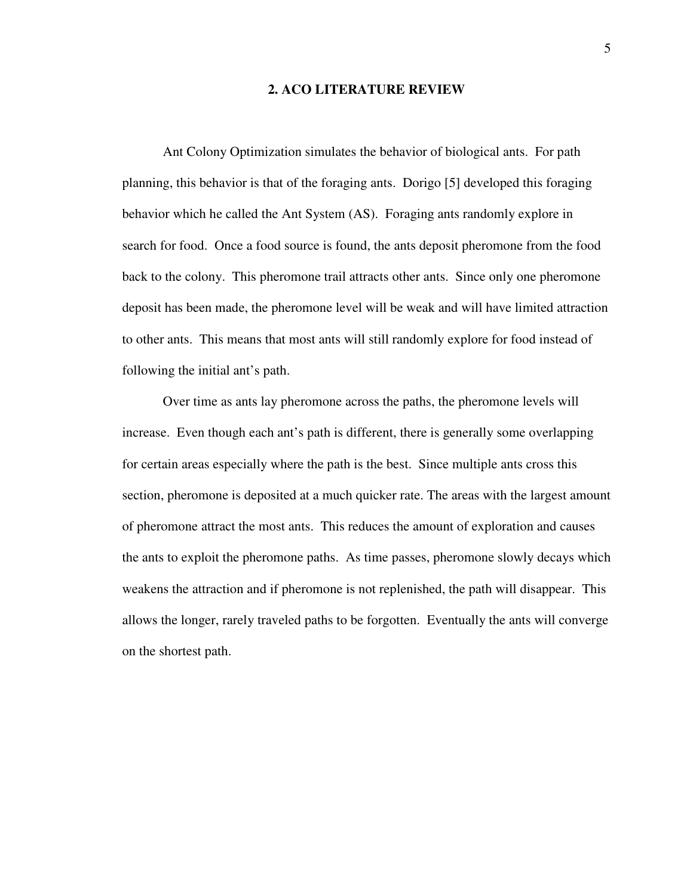#### **2. ACO LITERATURE REVIEW**

 Ant Colony Optimization simulates the behavior of biological ants. For path planning, this behavior is that of the foraging ants. Dorigo [5] developed this foraging behavior which he called the Ant System (AS). Foraging ants randomly explore in search for food. Once a food source is found, the ants deposit pheromone from the food back to the colony. This pheromone trail attracts other ants. Since only one pheromone deposit has been made, the pheromone level will be weak and will have limited attraction to other ants. This means that most ants will still randomly explore for food instead of following the initial ant's path.

Over time as ants lay pheromone across the paths, the pheromone levels will increase. Even though each ant's path is different, there is generally some overlapping for certain areas especially where the path is the best. Since multiple ants cross this section, pheromone is deposited at a much quicker rate. The areas with the largest amount of pheromone attract the most ants. This reduces the amount of exploration and causes the ants to exploit the pheromone paths. As time passes, pheromone slowly decays which weakens the attraction and if pheromone is not replenished, the path will disappear. This allows the longer, rarely traveled paths to be forgotten. Eventually the ants will converge on the shortest path.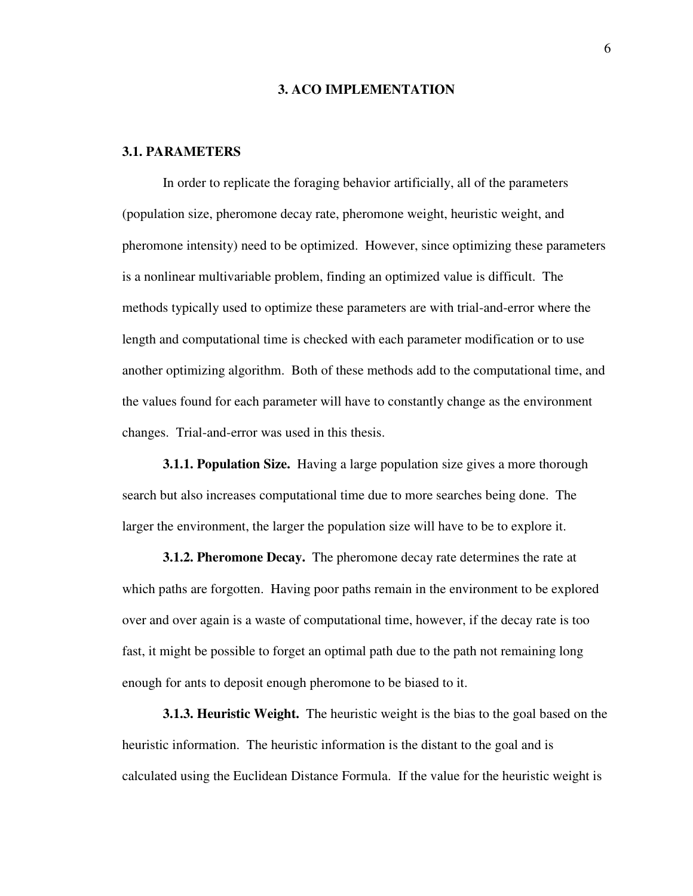#### **3. ACO IMPLEMENTATION**

### **3.1. PARAMETERS**

 In order to replicate the foraging behavior artificially, all of the parameters (population size, pheromone decay rate, pheromone weight, heuristic weight, and pheromone intensity) need to be optimized. However, since optimizing these parameters is a nonlinear multivariable problem, finding an optimized value is difficult. The methods typically used to optimize these parameters are with trial-and-error where the length and computational time is checked with each parameter modification or to use another optimizing algorithm. Both of these methods add to the computational time, and the values found for each parameter will have to constantly change as the environment changes. Trial-and-error was used in this thesis.

**3.1.1. Population Size.** Having a large population size gives a more thorough search but also increases computational time due to more searches being done. The larger the environment, the larger the population size will have to be to explore it.

**3.1.2. Pheromone Decay.** The pheromone decay rate determines the rate at which paths are forgotten. Having poor paths remain in the environment to be explored over and over again is a waste of computational time, however, if the decay rate is too fast, it might be possible to forget an optimal path due to the path not remaining long enough for ants to deposit enough pheromone to be biased to it.

**3.1.3. Heuristic Weight.** The heuristic weight is the bias to the goal based on the heuristic information. The heuristic information is the distant to the goal and is calculated using the Euclidean Distance Formula. If the value for the heuristic weight is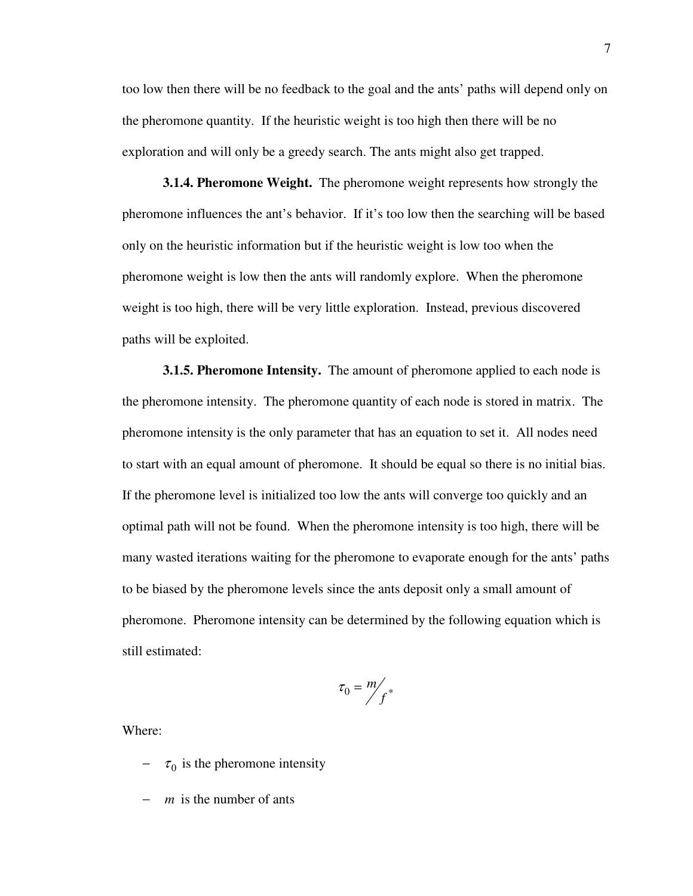too low then there will be no feedback to the goal and the ants' paths will depend only on the pheromone quantity. If the heuristic weight is too high then there will be no exploration and will only be a greedy search. The ants might also get trapped.

**3.1.4. Pheromone Weight.** The pheromone weight represents how strongly the pheromone influences the ant's behavior. If it's too low then the searching will be based only on the heuristic information but if the heuristic weight is low too when the pheromone weight is low then the ants will randomly explore. When the pheromone weight is too high, there will be very little exploration. Instead, previous discovered paths will be exploited.

**3.1.5. Pheromone Intensity.** The amount of pheromone applied to each node is the pheromone intensity. The pheromone quantity of each node is stored in matrix. The pheromone intensity is the only parameter that has an equation to set it. All nodes need to start with an equal amount of pheromone. It should be equal so there is no initial bias. If the pheromone level is initialized too low the ants will converge too quickly and an optimal path will not be found. When the pheromone intensity is too high, there will be many wasted iterations waiting for the pheromone to evaporate enough for the ants' paths to be biased by the pheromone levels since the ants deposit only a small amount of pheromone. Pheromone intensity can be determined by the following equation which is still estimated:

$$
\tau_0 = \frac{m}{f^*}
$$

Where:

- $\tau_0$  is the pheromone intensity
- − *m* is the number of ants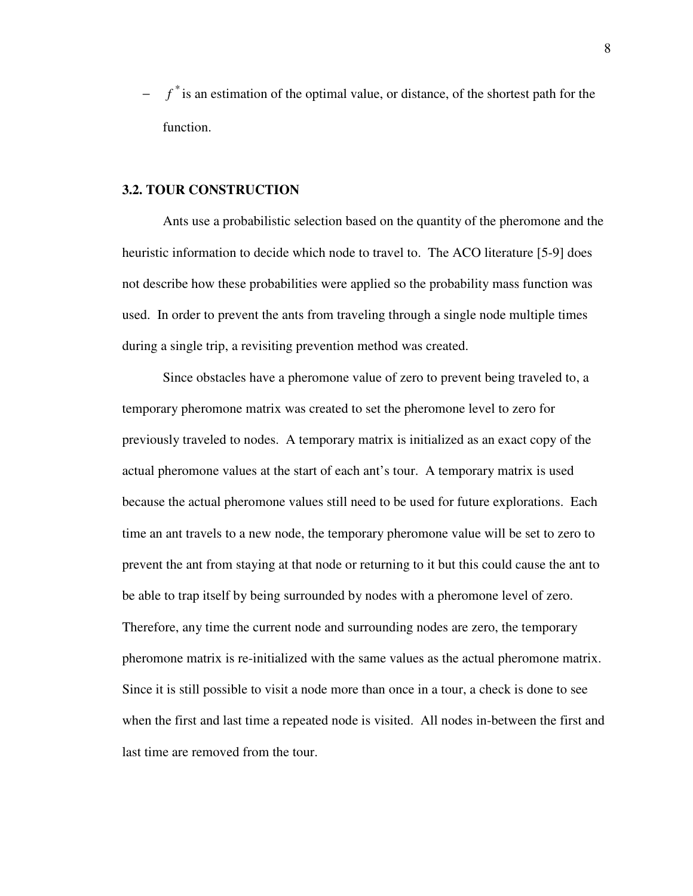− *f*<sup>\*</sup> is an estimation of the optimal value, or distance, of the shortest path for the function.

#### **3.2. TOUR CONSTRUCTION**

Ants use a probabilistic selection based on the quantity of the pheromone and the heuristic information to decide which node to travel to. The ACO literature [5-9] does not describe how these probabilities were applied so the probability mass function was used. In order to prevent the ants from traveling through a single node multiple times during a single trip, a revisiting prevention method was created.

Since obstacles have a pheromone value of zero to prevent being traveled to, a temporary pheromone matrix was created to set the pheromone level to zero for previously traveled to nodes. A temporary matrix is initialized as an exact copy of the actual pheromone values at the start of each ant's tour. A temporary matrix is used because the actual pheromone values still need to be used for future explorations. Each time an ant travels to a new node, the temporary pheromone value will be set to zero to prevent the ant from staying at that node or returning to it but this could cause the ant to be able to trap itself by being surrounded by nodes with a pheromone level of zero. Therefore, any time the current node and surrounding nodes are zero, the temporary pheromone matrix is re-initialized with the same values as the actual pheromone matrix. Since it is still possible to visit a node more than once in a tour, a check is done to see when the first and last time a repeated node is visited. All nodes in-between the first and last time are removed from the tour.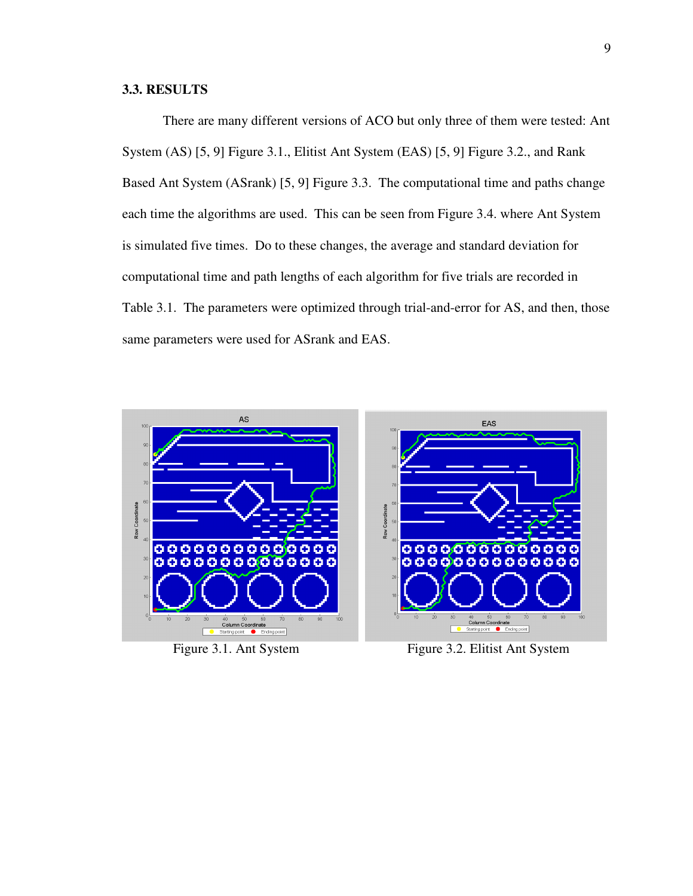# **3.3. RESULTS**

 There are many different versions of ACO but only three of them were tested: Ant System (AS) [5, 9] Figure 3.1., Elitist Ant System (EAS) [5, 9] Figure 3.2., and Rank Based Ant System (ASrank) [5, 9] Figure 3.3. The computational time and paths change each time the algorithms are used. This can be seen from Figure 3.4. where Ant System is simulated five times. Do to these changes, the average and standard deviation for computational time and path lengths of each algorithm for five trials are recorded in Table 3.1. The parameters were optimized through trial-and-error for AS, and then, those same parameters were used for ASrank and EAS.



Figure 3.1. Ant System Figure 3.2. Elitist Ant System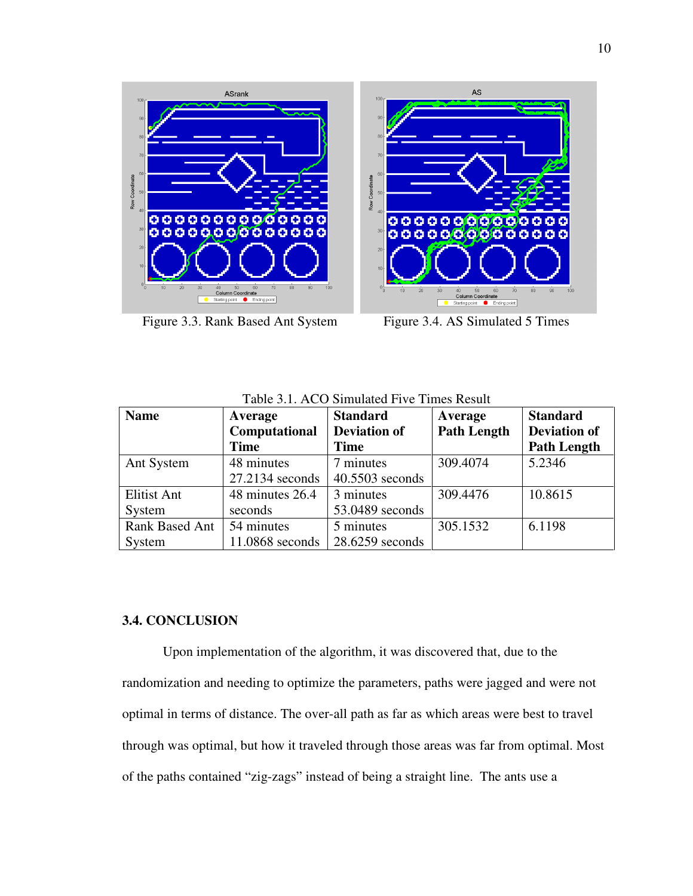

Figure 3.3. Rank Based Ant System Figure 3.4. AS Simulated 5 Times

| <b>Name</b>        | Average         | <b>Standard</b>     | Average            | <b>Standard</b>     |
|--------------------|-----------------|---------------------|--------------------|---------------------|
|                    | Computational   | <b>Deviation of</b> | <b>Path Length</b> | <b>Deviation of</b> |
|                    | <b>Time</b>     | <b>Time</b>         |                    | <b>Path Length</b>  |
| Ant System         | 48 minutes      | 7 minutes           | 309.4074           | 5.2346              |
|                    | 27.2134 seconds | 40.5503 seconds     |                    |                     |
| <b>Elitist Ant</b> | 48 minutes 26.4 | 3 minutes           | 309.4476           | 10.8615             |
| System             | seconds         | 53.0489 seconds     |                    |                     |
| Rank Based Ant     | 54 minutes      | 5 minutes           | 305.1532           | 6.1198              |
| System             | 11.0868 seconds | $28.6259$ seconds   |                    |                     |

Table 3.1. ACO Simulated Five Times Result

# **3.4. CONCLUSION**

Upon implementation of the algorithm, it was discovered that, due to the randomization and needing to optimize the parameters, paths were jagged and were not optimal in terms of distance. The over-all path as far as which areas were best to travel through was optimal, but how it traveled through those areas was far from optimal. Most of the paths contained "zig-zags" instead of being a straight line. The ants use a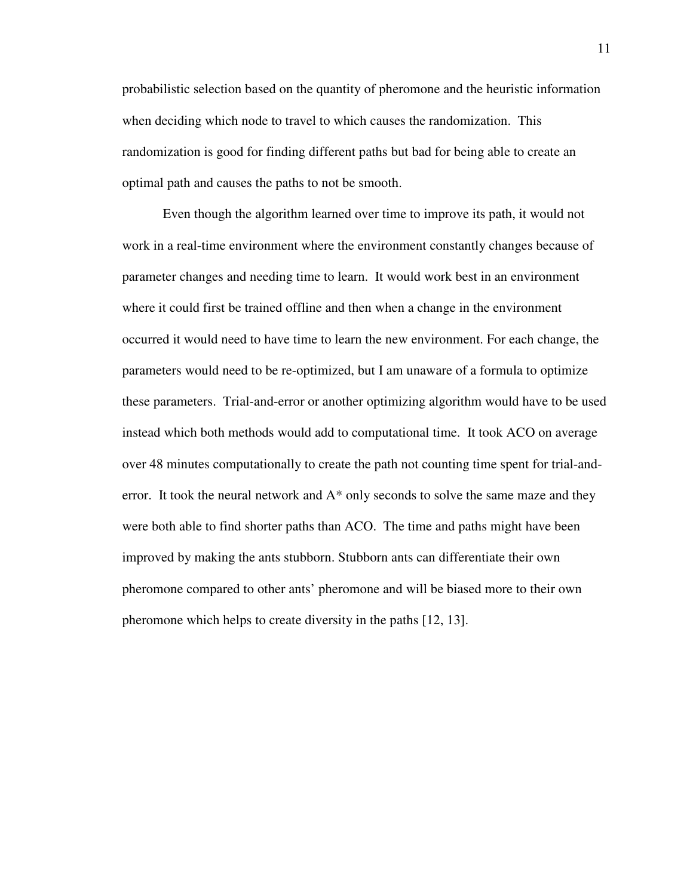probabilistic selection based on the quantity of pheromone and the heuristic information when deciding which node to travel to which causes the randomization. This randomization is good for finding different paths but bad for being able to create an optimal path and causes the paths to not be smooth.

Even though the algorithm learned over time to improve its path, it would not work in a real-time environment where the environment constantly changes because of parameter changes and needing time to learn. It would work best in an environment where it could first be trained offline and then when a change in the environment occurred it would need to have time to learn the new environment. For each change, the parameters would need to be re-optimized, but I am unaware of a formula to optimize these parameters. Trial-and-error or another optimizing algorithm would have to be used instead which both methods would add to computational time. It took ACO on average over 48 minutes computationally to create the path not counting time spent for trial-anderror. It took the neural network and A\* only seconds to solve the same maze and they were both able to find shorter paths than ACO. The time and paths might have been improved by making the ants stubborn. Stubborn ants can differentiate their own pheromone compared to other ants' pheromone and will be biased more to their own pheromone which helps to create diversity in the paths [12, 13].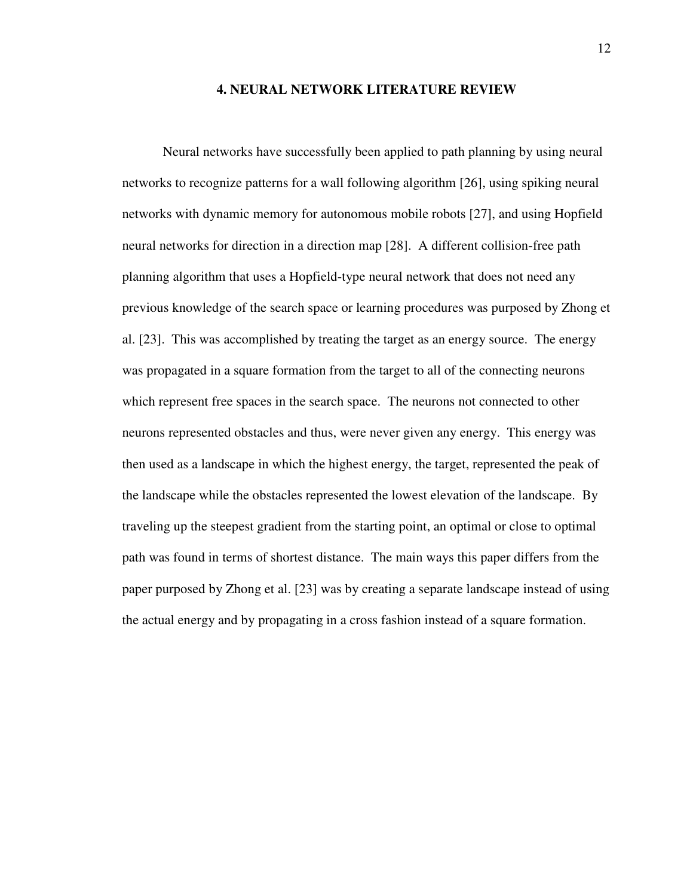#### **4. NEURAL NETWORK LITERATURE REVIEW**

Neural networks have successfully been applied to path planning by using neural networks to recognize patterns for a wall following algorithm [26], using spiking neural networks with dynamic memory for autonomous mobile robots [27], and using Hopfield neural networks for direction in a direction map [28]. A different collision-free path planning algorithm that uses a Hopfield-type neural network that does not need any previous knowledge of the search space or learning procedures was purposed by Zhong et al. [23]. This was accomplished by treating the target as an energy source. The energy was propagated in a square formation from the target to all of the connecting neurons which represent free spaces in the search space. The neurons not connected to other neurons represented obstacles and thus, were never given any energy. This energy was then used as a landscape in which the highest energy, the target, represented the peak of the landscape while the obstacles represented the lowest elevation of the landscape. By traveling up the steepest gradient from the starting point, an optimal or close to optimal path was found in terms of shortest distance. The main ways this paper differs from the paper purposed by Zhong et al. [23] was by creating a separate landscape instead of using the actual energy and by propagating in a cross fashion instead of a square formation.

12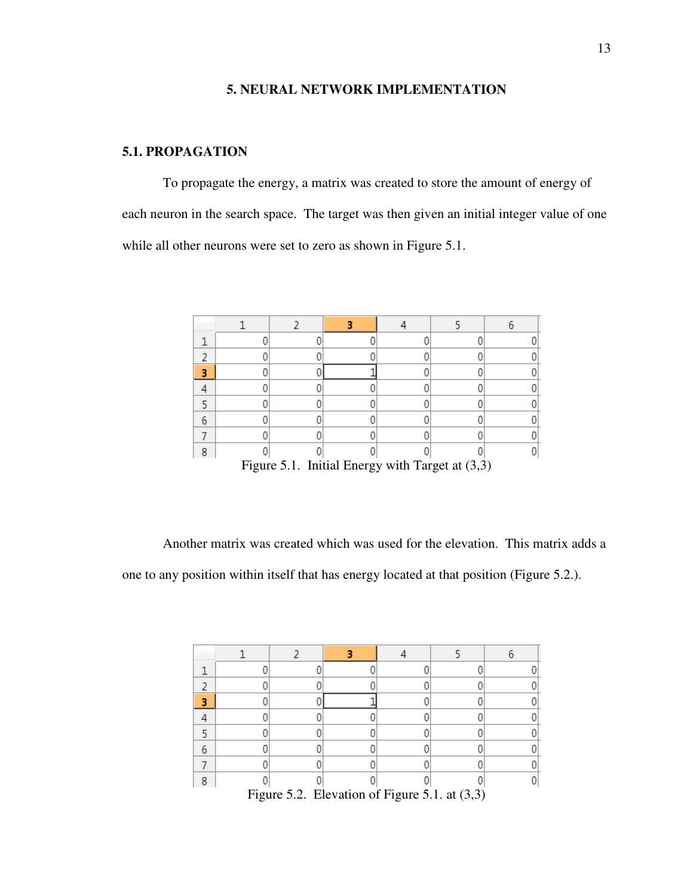# **5. NEURAL NETWORK IMPLEMENTATION**

# **5.1. PROPAGATION**

To propagate the energy, a matrix was created to store the amount of energy of each neuron in the search space. The target was then given an initial integer value of one while all other neurons were set to zero as shown in Figure 5.1.

| Figure 5.1. Initial Energy with Target at $(3,3)$ |  |  |  |  |  |  |
|---------------------------------------------------|--|--|--|--|--|--|

Another matrix was created which was used for the elevation. This matrix adds a one to any position within itself that has energy located at that position (Figure 5.2.).

|  | Eigure $5.2$ Elevation of Eigure $5.1$ of (2.2) |  |  |
|--|-------------------------------------------------|--|--|

Figure 5.2. Elevation of Figure 5.1. at (3,3)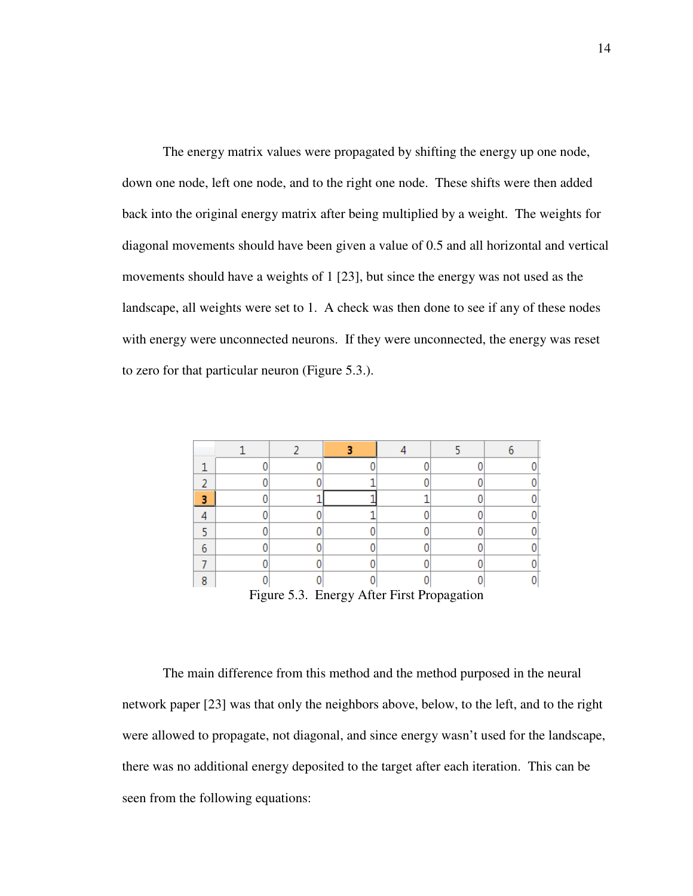The energy matrix values were propagated by shifting the energy up one node, down one node, left one node, and to the right one node. These shifts were then added back into the original energy matrix after being multiplied by a weight. The weights for diagonal movements should have been given a value of 0.5 and all horizontal and vertical movements should have a weights of 1 [23], but since the energy was not used as the landscape, all weights were set to 1. A check was then done to see if any of these nodes with energy were unconnected neurons. If they were unconnected, the energy was reset to zero for that particular neuron (Figure 5.3.).

| Figure 5.3. Energy After First Propagation |  |  |  |  |  |  |  |
|--------------------------------------------|--|--|--|--|--|--|--|

The main difference from this method and the method purposed in the neural network paper [23] was that only the neighbors above, below, to the left, and to the right were allowed to propagate, not diagonal, and since energy wasn't used for the landscape, there was no additional energy deposited to the target after each iteration. This can be seen from the following equations: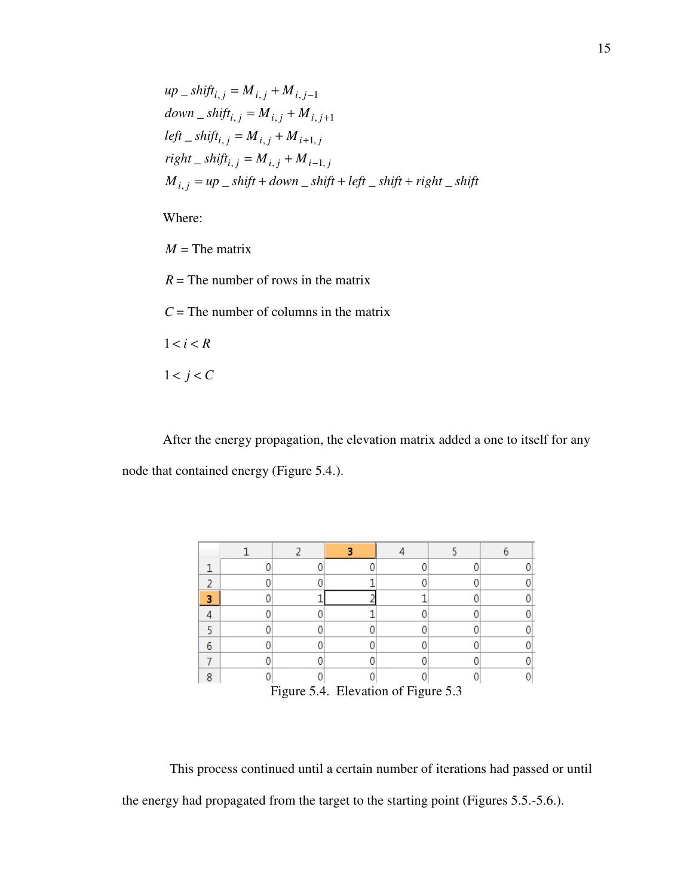$$
up\_shift_{i,j} = M_{i,j} + M_{i,j-1}
$$
  
\n
$$
down\_shift_{i,j} = M_{i,j} + M_{i,j+1}
$$
  
\n
$$
left\_shift_{i,j} = M_{i,j} + M_{i+1,j}
$$
  
\n
$$
right\_shift_{i,j} = M_{i,j} + M_{i-1,j}
$$
  
\n
$$
M_{i,j} = up\_shift + down\_shift + left\_shift + right\_shift
$$

Where:

 $M$  = The matrix

 $R =$ The number of rows in the matrix

*C* = The number of columns in the matrix

 $1 < i < R$ 

 $1 < j < C$ 

After the energy propagation, the elevation matrix added a one to itself for any node that contained energy (Figure 5.4.).

| o                                   |  |  |  |  |  |  |  |
|-------------------------------------|--|--|--|--|--|--|--|
| Figure 5.4. Elevation of Figure 5.3 |  |  |  |  |  |  |  |

 This process continued until a certain number of iterations had passed or until the energy had propagated from the target to the starting point (Figures 5.5.-5.6.).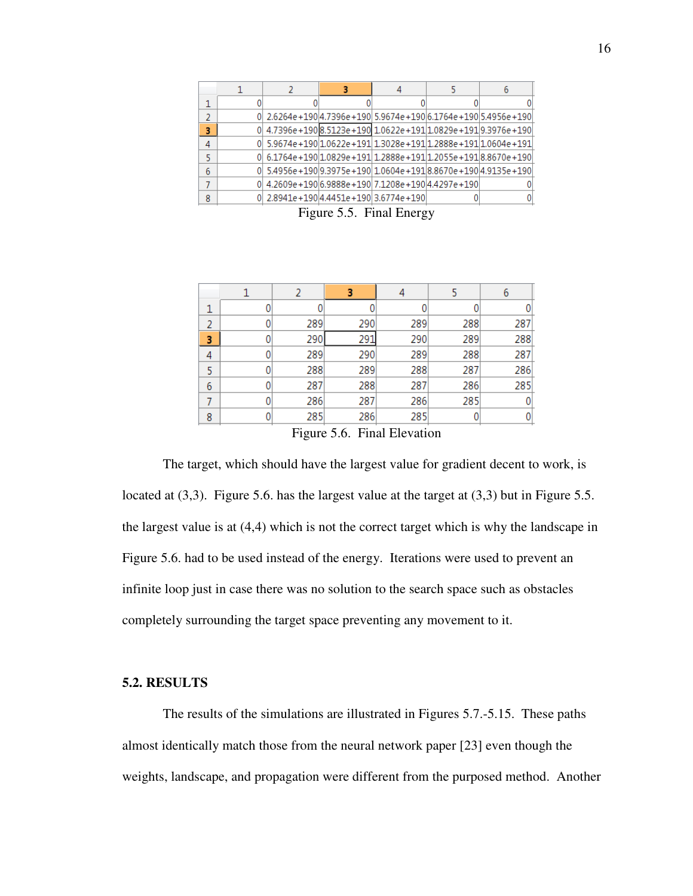|   | 2.6264e + 190 4.7396e + 190 5.9674e + 190 6.1764e + 190 5.4956e + 190 |  |  |
|---|-----------------------------------------------------------------------|--|--|
| з | 0 4.7396e+190 8.5123e+190 1.0622e+191 1.0829e+191 9.3976e+190         |  |  |
| 4 | 5.9674e+190 1.0622e+191 1.3028e+191 1.2888e+191 1.0604e+191           |  |  |
|   | $0 6.1764e+190 1.0829e+191 1.2888e+191 1.2055e+191 8.8670e+190$       |  |  |
| 6 | $0 5.4956e+190 9.3975e+190 1.0604e+191 8.8670e+190 4.9135e+190$       |  |  |
|   | 4.2609e+190 6.9888e+190 7.1208e+190 4.4297e+190                       |  |  |
| 8 | 2.8941e+190 4.4451e+190 3.6774e+190                                   |  |  |

Figure 5.5. Final Energy

|                                                                              |  | 2   | з   |     |     | 6   |  |  |
|------------------------------------------------------------------------------|--|-----|-----|-----|-----|-----|--|--|
|                                                                              |  |     |     | 0   |     | 0   |  |  |
| 2                                                                            |  | 289 | 290 | 289 | 288 | 287 |  |  |
| 3                                                                            |  | 290 | 291 | 290 | 289 | 288 |  |  |
| 4                                                                            |  | 289 | 290 | 289 | 288 | 287 |  |  |
| 5                                                                            |  | 288 | 289 | 288 | 287 | 286 |  |  |
| 6                                                                            |  | 287 | 288 | 287 | 286 | 285 |  |  |
|                                                                              |  | 286 | 287 | 286 | 285 | 0   |  |  |
| 8                                                                            |  | 285 | 286 | 285 |     | 0   |  |  |
| $\Gamma$ $\Gamma$ $\Gamma$<br>$\mathbf{E}^*$ 1 $\mathbf{E}^*$ $\mathbf{E}^*$ |  |     |     |     |     |     |  |  |

Figure 5.6. Final Elevation

The target, which should have the largest value for gradient decent to work, is located at (3,3). Figure 5.6. has the largest value at the target at (3,3) but in Figure 5.5. the largest value is at (4,4) which is not the correct target which is why the landscape in Figure 5.6. had to be used instead of the energy. Iterations were used to prevent an infinite loop just in case there was no solution to the search space such as obstacles completely surrounding the target space preventing any movement to it.

#### **5.2. RESULTS**

The results of the simulations are illustrated in Figures 5.7.-5.15. These paths almost identically match those from the neural network paper [23] even though the weights, landscape, and propagation were different from the purposed method. Another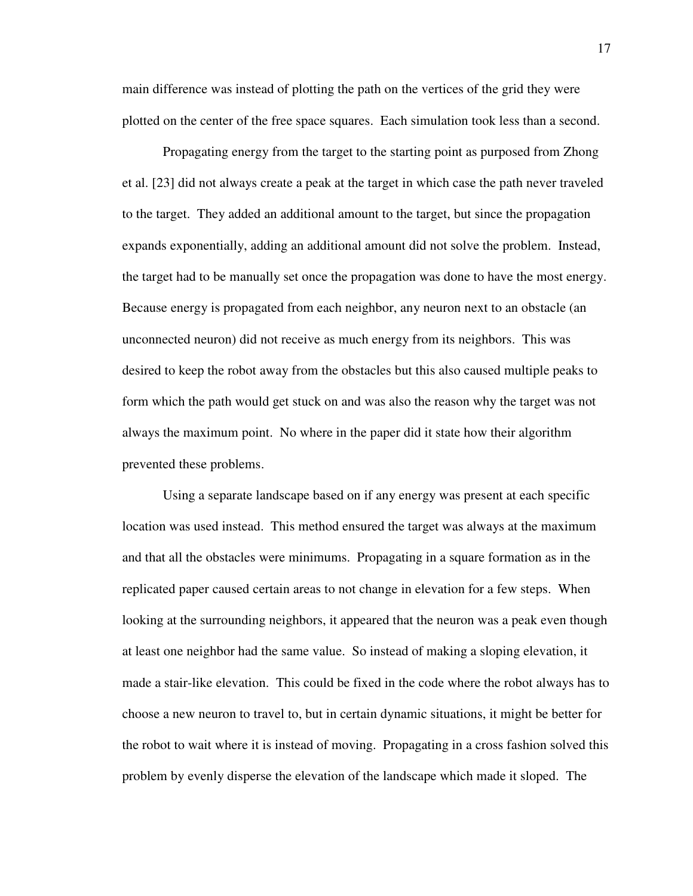main difference was instead of plotting the path on the vertices of the grid they were plotted on the center of the free space squares. Each simulation took less than a second.

Propagating energy from the target to the starting point as purposed from Zhong et al. [23] did not always create a peak at the target in which case the path never traveled to the target. They added an additional amount to the target, but since the propagation expands exponentially, adding an additional amount did not solve the problem. Instead, the target had to be manually set once the propagation was done to have the most energy. Because energy is propagated from each neighbor, any neuron next to an obstacle (an unconnected neuron) did not receive as much energy from its neighbors. This was desired to keep the robot away from the obstacles but this also caused multiple peaks to form which the path would get stuck on and was also the reason why the target was not always the maximum point. No where in the paper did it state how their algorithm prevented these problems.

Using a separate landscape based on if any energy was present at each specific location was used instead. This method ensured the target was always at the maximum and that all the obstacles were minimums. Propagating in a square formation as in the replicated paper caused certain areas to not change in elevation for a few steps. When looking at the surrounding neighbors, it appeared that the neuron was a peak even though at least one neighbor had the same value. So instead of making a sloping elevation, it made a stair-like elevation. This could be fixed in the code where the robot always has to choose a new neuron to travel to, but in certain dynamic situations, it might be better for the robot to wait where it is instead of moving. Propagating in a cross fashion solved this problem by evenly disperse the elevation of the landscape which made it sloped. The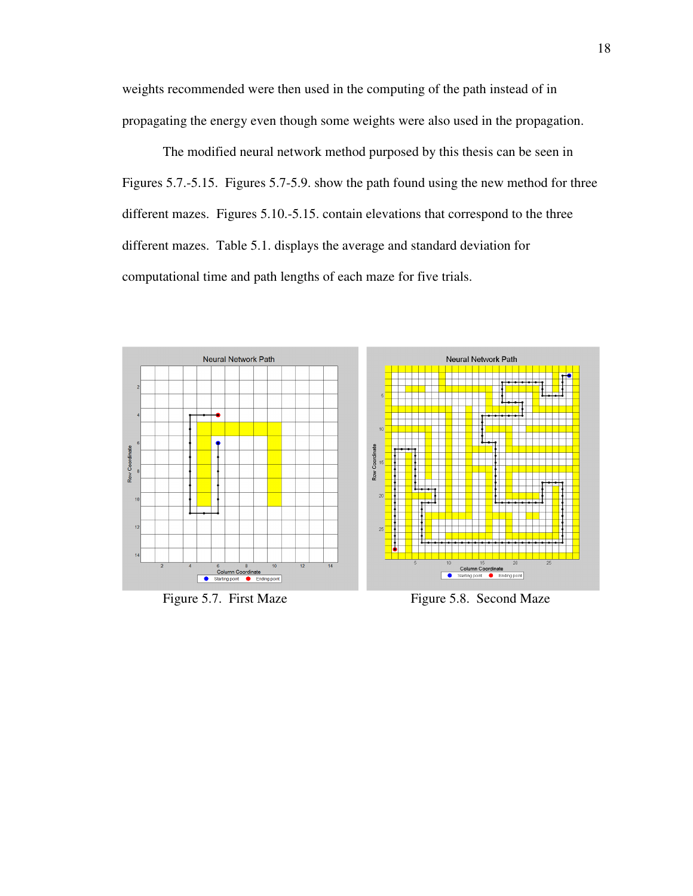weights recommended were then used in the computing of the path instead of in propagating the energy even though some weights were also used in the propagation.

The modified neural network method purposed by this thesis can be seen in Figures 5.7.-5.15. Figures 5.7-5.9. show the path found using the new method for three different mazes. Figures 5.10.-5.15. contain elevations that correspond to the three different mazes. Table 5.1. displays the average and standard deviation for computational time and path lengths of each maze for five trials.



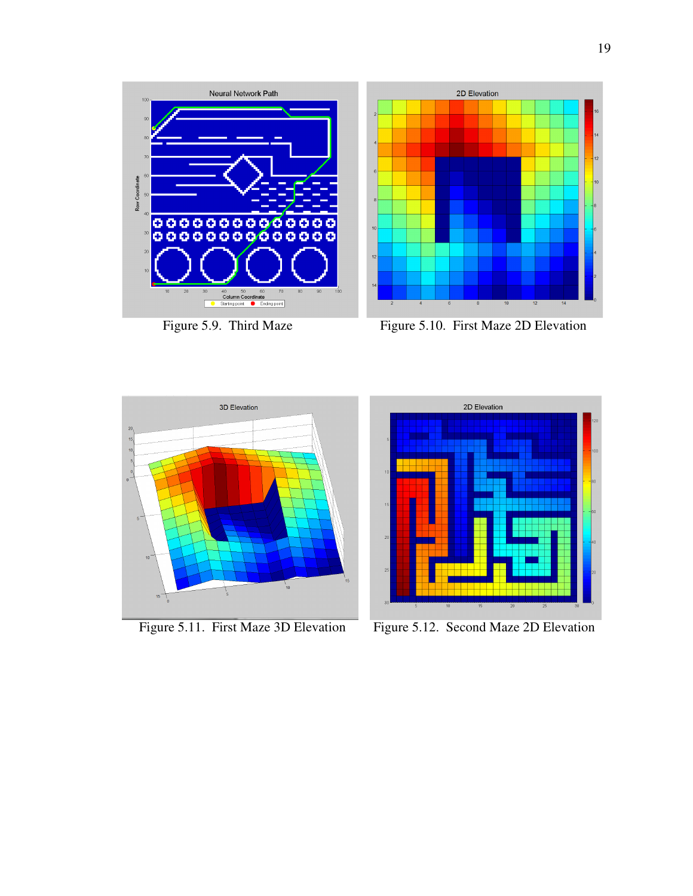

 $\overline{\mathbf{8}}$ 

 $10$ 

 $12$ 



Neural Network Path

Figure 5.9. Third Maze Figure 5.10. First Maze 2D Elevation

2D Elevation





Figure 5.11. First Maze 3D Elevation Figure 5.12. Second Maze 2D Elevation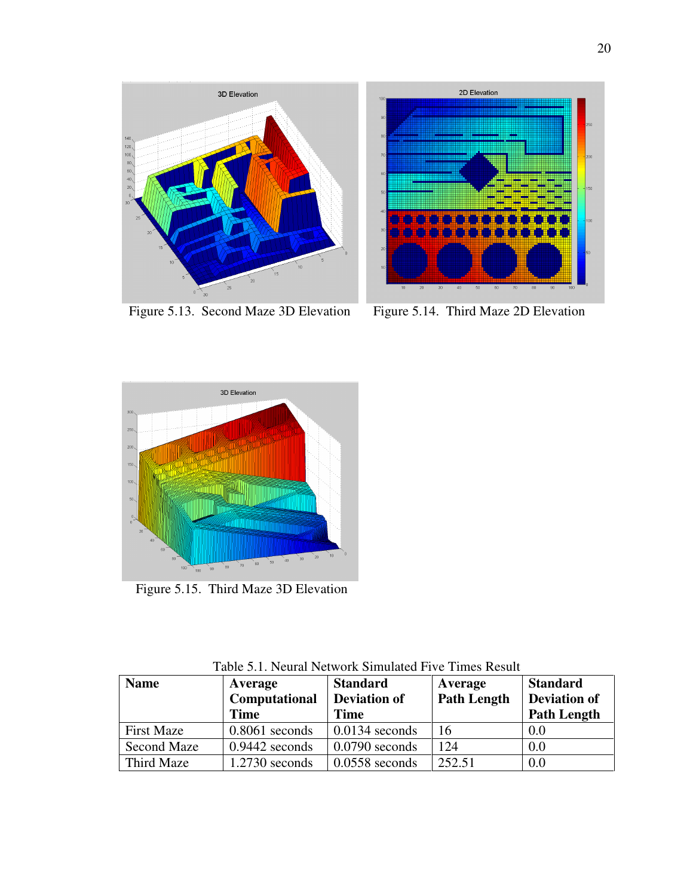



Figure 5.13. Second Maze 3D Elevation Figure 5.14. Third Maze 2D Elevation



Figure 5.15. Third Maze 3D Elevation

| <b>Name</b>        | Average<br>Computational<br><b>Time</b> | <b>Standard</b><br><b>Deviation of</b><br><b>Time</b> | Average<br><b>Path Length</b> | <b>Standard</b><br>Deviation of<br><b>Path Length</b> |
|--------------------|-----------------------------------------|-------------------------------------------------------|-------------------------------|-------------------------------------------------------|
| <b>First Maze</b>  | $0.8061$ seconds                        | $0.0134$ seconds                                      | 16                            | 0.0                                                   |
| <b>Second Maze</b> | $0.9442$ seconds                        | $0.0790$ seconds                                      | 124                           | 0.0                                                   |
| Third Maze         | $1.2730$ seconds                        | $0.0558$ seconds                                      | 252.51                        | 0.0                                                   |

Table 5.1. Neural Network Simulated Five Times Result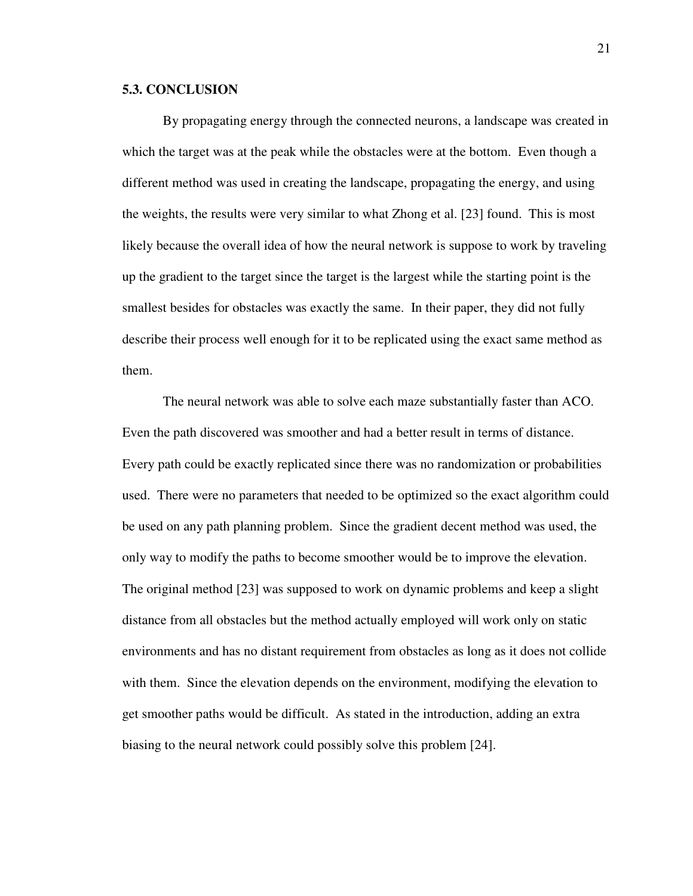#### **5.3. CONCLUSION**

By propagating energy through the connected neurons, a landscape was created in which the target was at the peak while the obstacles were at the bottom. Even though a different method was used in creating the landscape, propagating the energy, and using the weights, the results were very similar to what Zhong et al. [23] found. This is most likely because the overall idea of how the neural network is suppose to work by traveling up the gradient to the target since the target is the largest while the starting point is the smallest besides for obstacles was exactly the same. In their paper, they did not fully describe their process well enough for it to be replicated using the exact same method as them.

The neural network was able to solve each maze substantially faster than ACO. Even the path discovered was smoother and had a better result in terms of distance. Every path could be exactly replicated since there was no randomization or probabilities used. There were no parameters that needed to be optimized so the exact algorithm could be used on any path planning problem. Since the gradient decent method was used, the only way to modify the paths to become smoother would be to improve the elevation. The original method [23] was supposed to work on dynamic problems and keep a slight distance from all obstacles but the method actually employed will work only on static environments and has no distant requirement from obstacles as long as it does not collide with them. Since the elevation depends on the environment, modifying the elevation to get smoother paths would be difficult. As stated in the introduction, adding an extra biasing to the neural network could possibly solve this problem [24].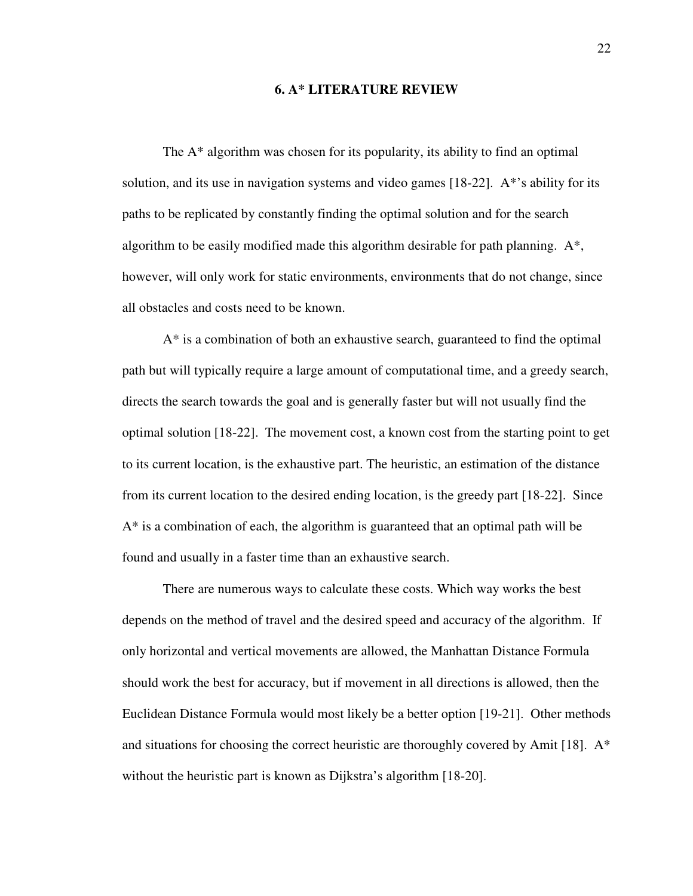#### **6. A\* LITERATURE REVIEW**

The A\* algorithm was chosen for its popularity, its ability to find an optimal solution, and its use in navigation systems and video games [18-22]. A\*'s ability for its paths to be replicated by constantly finding the optimal solution and for the search algorithm to be easily modified made this algorithm desirable for path planning. A\*, however, will only work for static environments, environments that do not change, since all obstacles and costs need to be known.

A\* is a combination of both an exhaustive search, guaranteed to find the optimal path but will typically require a large amount of computational time, and a greedy search, directs the search towards the goal and is generally faster but will not usually find the optimal solution [18-22]. The movement cost, a known cost from the starting point to get to its current location, is the exhaustive part. The heuristic, an estimation of the distance from its current location to the desired ending location, is the greedy part [18-22]. Since A\* is a combination of each, the algorithm is guaranteed that an optimal path will be found and usually in a faster time than an exhaustive search.

There are numerous ways to calculate these costs. Which way works the best depends on the method of travel and the desired speed and accuracy of the algorithm. If only horizontal and vertical movements are allowed, the Manhattan Distance Formula should work the best for accuracy, but if movement in all directions is allowed, then the Euclidean Distance Formula would most likely be a better option [19-21]. Other methods and situations for choosing the correct heuristic are thoroughly covered by Amit [18].  $A^*$ without the heuristic part is known as Dijkstra's algorithm [18-20].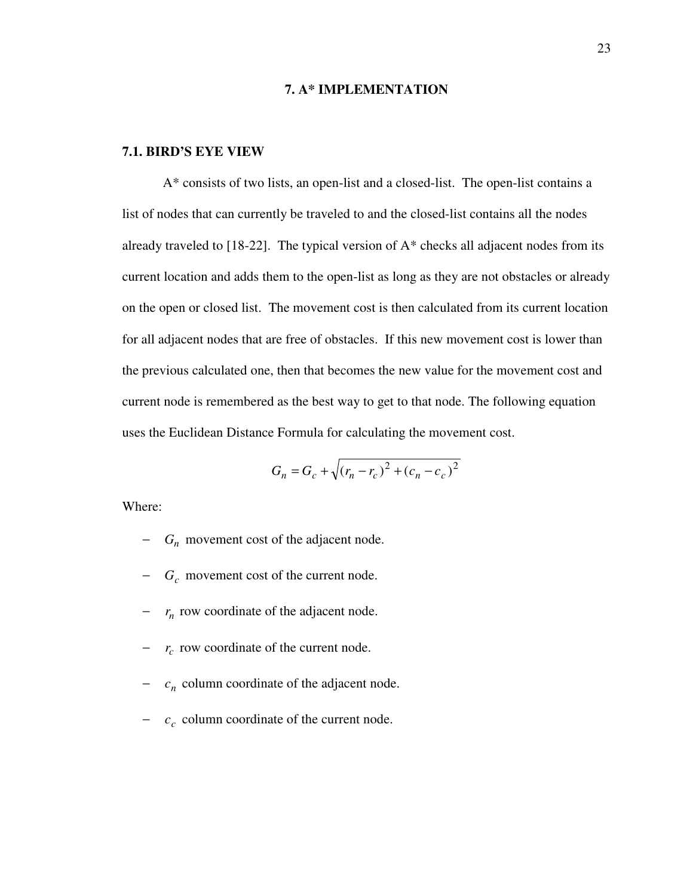#### **7. A\* IMPLEMENTATION**

### **7.1. BIRD'S EYE VIEW**

 A\* consists of two lists, an open-list and a closed-list. The open-list contains a list of nodes that can currently be traveled to and the closed-list contains all the nodes already traveled to  $[18-22]$ . The typical version of  $A^*$  checks all adjacent nodes from its current location and adds them to the open-list as long as they are not obstacles or already on the open or closed list. The movement cost is then calculated from its current location for all adjacent nodes that are free of obstacles. If this new movement cost is lower than the previous calculated one, then that becomes the new value for the movement cost and current node is remembered as the best way to get to that node. The following equation uses the Euclidean Distance Formula for calculating the movement cost.

$$
G_n = G_c + \sqrt{(r_n - r_c)^2 + (c_n - c_c)^2}
$$

Where:

- − *G<sup>n</sup>* movement cost of the adjacent node.
- − *G<sup>c</sup>* movement cost of the current node.
- − *<sup>n</sup> r* row coordinate of the adjacent node.
- − *r*<sub>c</sub> row coordinate of the current node.
- − *c<sub>n</sub>* column coordinate of the adjacent node.
- − *<sup>c</sup> c* column coordinate of the current node.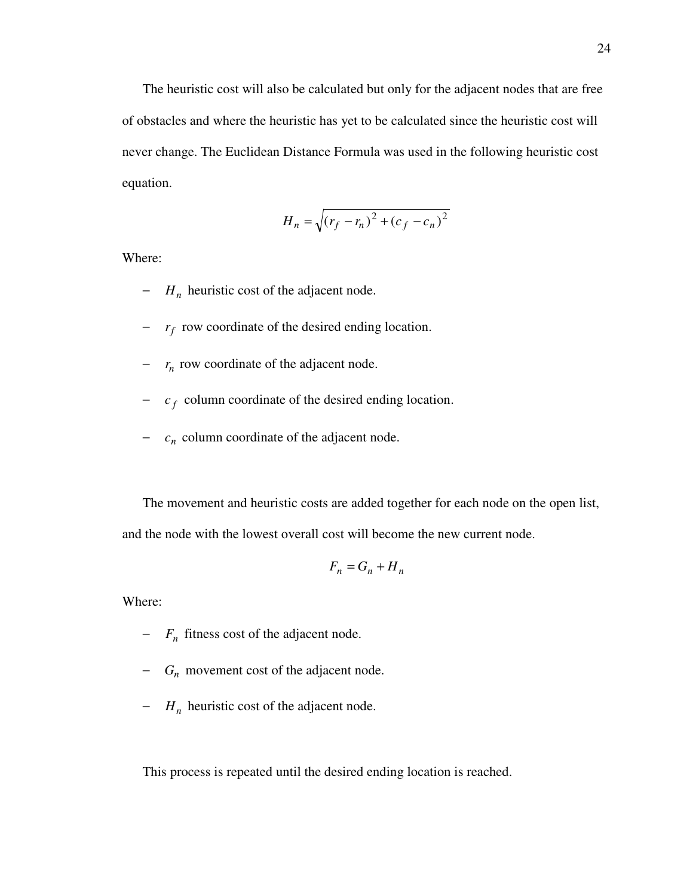The heuristic cost will also be calculated but only for the adjacent nodes that are free of obstacles and where the heuristic has yet to be calculated since the heuristic cost will never change. The Euclidean Distance Formula was used in the following heuristic cost equation.

$$
H_n = \sqrt{(r_f - r_n)^2 + (c_f - c_n)^2}
$$

Where:

- − *H<sup>n</sup>* heuristic cost of the adjacent node.
- − *<sup>f</sup> r* row coordinate of the desired ending location.
- − *<sup>n</sup> r* row coordinate of the adjacent node.
- − *<sup>f</sup> c* column coordinate of the desired ending location.
- − *c<sub>n</sub>* column coordinate of the adjacent node.

The movement and heuristic costs are added together for each node on the open list, and the node with the lowest overall cost will become the new current node.

$$
F_n = G_n + H_n
$$

Where:

− *F<sup>n</sup>* fitness cost of the adjacent node.

- − *G<sup>n</sup>* movement cost of the adjacent node.
- − *H<sup>n</sup>* heuristic cost of the adjacent node.

This process is repeated until the desired ending location is reached.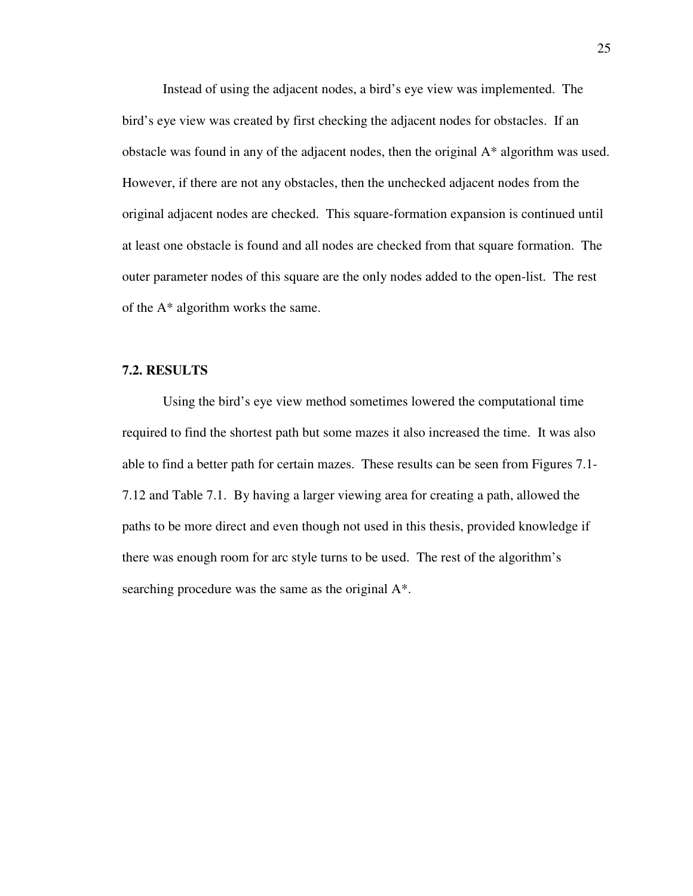Instead of using the adjacent nodes, a bird's eye view was implemented. The bird's eye view was created by first checking the adjacent nodes for obstacles. If an obstacle was found in any of the adjacent nodes, then the original A\* algorithm was used. However, if there are not any obstacles, then the unchecked adjacent nodes from the original adjacent nodes are checked. This square-formation expansion is continued until at least one obstacle is found and all nodes are checked from that square formation. The outer parameter nodes of this square are the only nodes added to the open-list. The rest of the A\* algorithm works the same.

### **7.2. RESULTS**

 Using the bird's eye view method sometimes lowered the computational time required to find the shortest path but some mazes it also increased the time. It was also able to find a better path for certain mazes. These results can be seen from Figures 7.1- 7.12 and Table 7.1. By having a larger viewing area for creating a path, allowed the paths to be more direct and even though not used in this thesis, provided knowledge if there was enough room for arc style turns to be used. The rest of the algorithm's searching procedure was the same as the original A\*.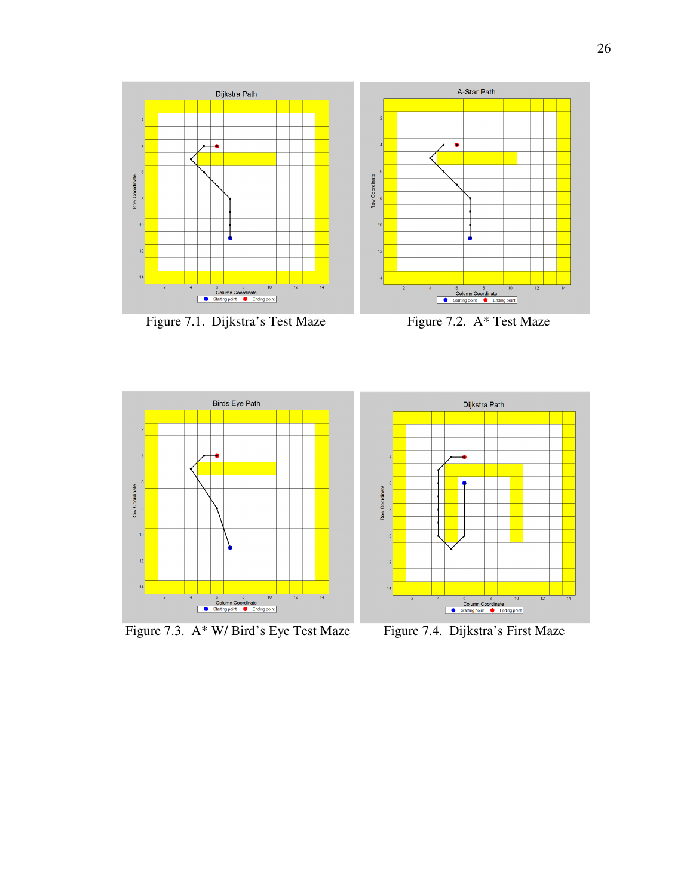

Figure 7.1. Dijkstra's Test Maze Figure 7.2. A\* Test Maze





Figure 7.3. A\* W/ Bird's Eye Test Maze Figure 7.4. Dijkstra's First Maze

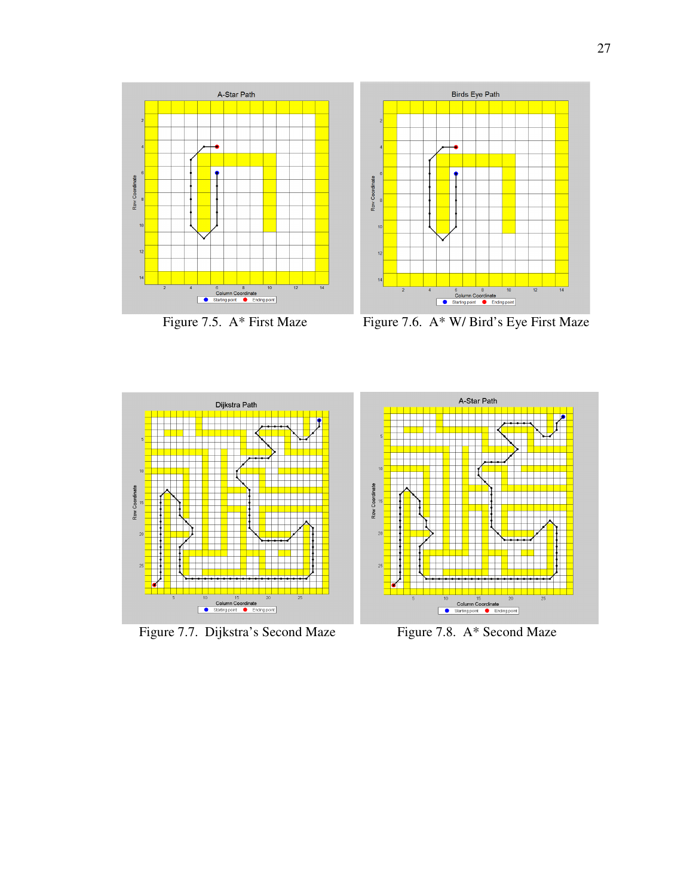



Figure 7.5. A\* First Maze Figure 7.6. A\* W/ Bird's Eye First Maze



Figure 7.7. Dijkstra's Second Maze Figure 7.8. A\* Second Maze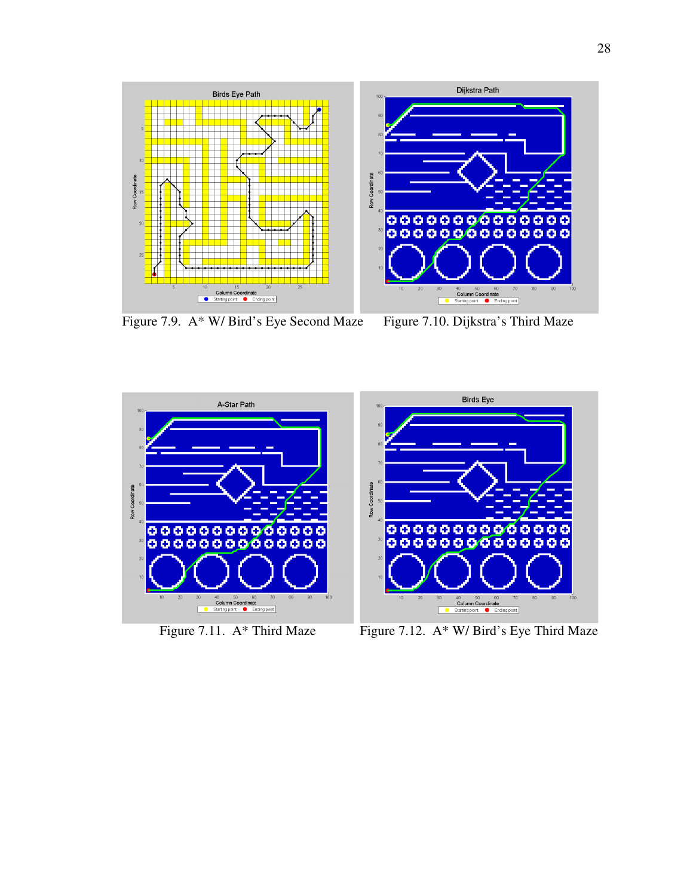

Figure 7.9. A\* W/ Bird's Eye Second Maze Figure 7.10. Dijkstra's Third Maze



Figure 7.11. A\* Third Maze Figure 7.12. A\* W/ Bird's Eye Third Maze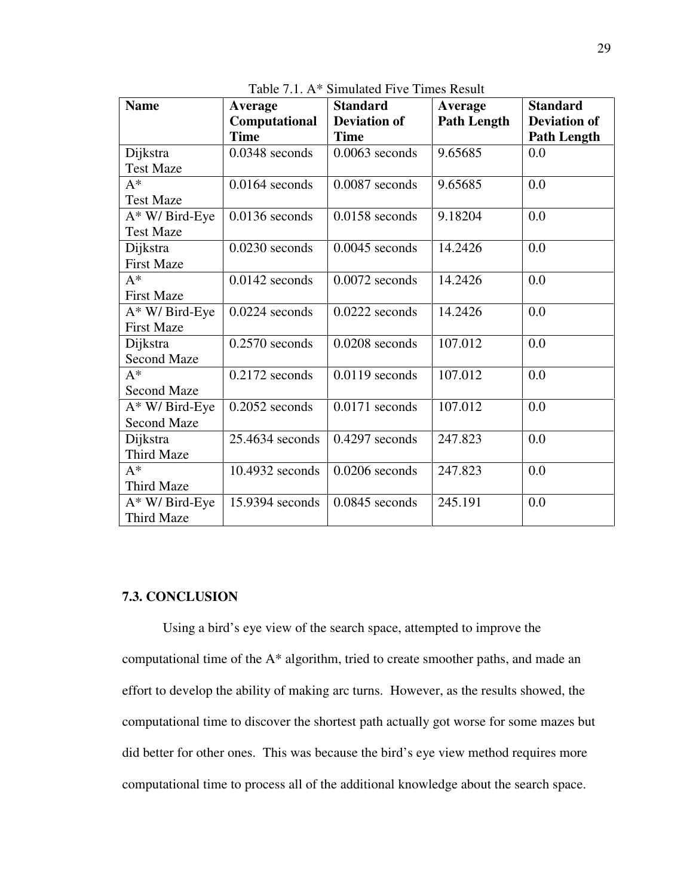| <b>Name</b>        | Average           | <b>Standard</b>     | Average            | <b>Standard</b>     |
|--------------------|-------------------|---------------------|--------------------|---------------------|
|                    | Computational     | <b>Deviation of</b> | <b>Path Length</b> | <b>Deviation of</b> |
|                    | <b>Time</b>       | <b>Time</b>         |                    | <b>Path Length</b>  |
| Dijkstra           | $0.0348$ seconds  | $0.0063$ seconds    | 9.65685            | 0.0                 |
| <b>Test Maze</b>   |                   |                     |                    |                     |
| $A^*$              | $0.0164$ seconds  | $0.0087$ seconds    | 9.65685            | 0.0                 |
| <b>Test Maze</b>   |                   |                     |                    |                     |
| A* W/ Bird-Eye     | $0.0136$ seconds  | $0.0158$ seconds    | 9.18204            | 0.0                 |
| <b>Test Maze</b>   |                   |                     |                    |                     |
| Dijkstra           | $0.0230$ seconds  | $0.0045$ seconds    | 14.2426            | 0.0                 |
| <b>First Maze</b>  |                   |                     |                    |                     |
| $A^*$              | $0.0142$ seconds  | $0.0072$ seconds    | 14.2426            | 0.0                 |
| <b>First Maze</b>  |                   |                     |                    |                     |
| A* W/ Bird-Eye     | $0.0224$ seconds  | $0.0222$ seconds    | 14.2426            | 0.0                 |
| <b>First Maze</b>  |                   |                     |                    |                     |
| Dijkstra           | $0.2570$ seconds  | $0.0208$ seconds    | 107.012            | 0.0                 |
| <b>Second Maze</b> |                   |                     |                    |                     |
| $A^*$              | $0.2172$ seconds  | $0.0119$ seconds    | 107.012            | 0.0                 |
| <b>Second Maze</b> |                   |                     |                    |                     |
| A* W/ Bird-Eye     | $0.2052$ seconds  | $0.0171$ seconds    | 107.012            | 0.0                 |
| <b>Second Maze</b> |                   |                     |                    |                     |
| Dijkstra           | $25.4634$ seconds | $0.4297$ seconds    | 247.823            | 0.0                 |
| Third Maze         |                   |                     |                    |                     |
| $A^*$              | $10.4932$ seconds | $0.0206$ seconds    | 247.823            | 0.0                 |
| Third Maze         |                   |                     |                    |                     |
| $A^*$ W/ Bird-Eye  | 15.9394 seconds   | $0.0845$ seconds    | 245.191            | 0.0                 |
| Third Maze         |                   |                     |                    |                     |

Table 7.1. A\* Simulated Five Times Result

# **7.3. CONCLUSION**

 Using a bird's eye view of the search space, attempted to improve the computational time of the A\* algorithm, tried to create smoother paths, and made an effort to develop the ability of making arc turns. However, as the results showed, the computational time to discover the shortest path actually got worse for some mazes but did better for other ones. This was because the bird's eye view method requires more computational time to process all of the additional knowledge about the search space.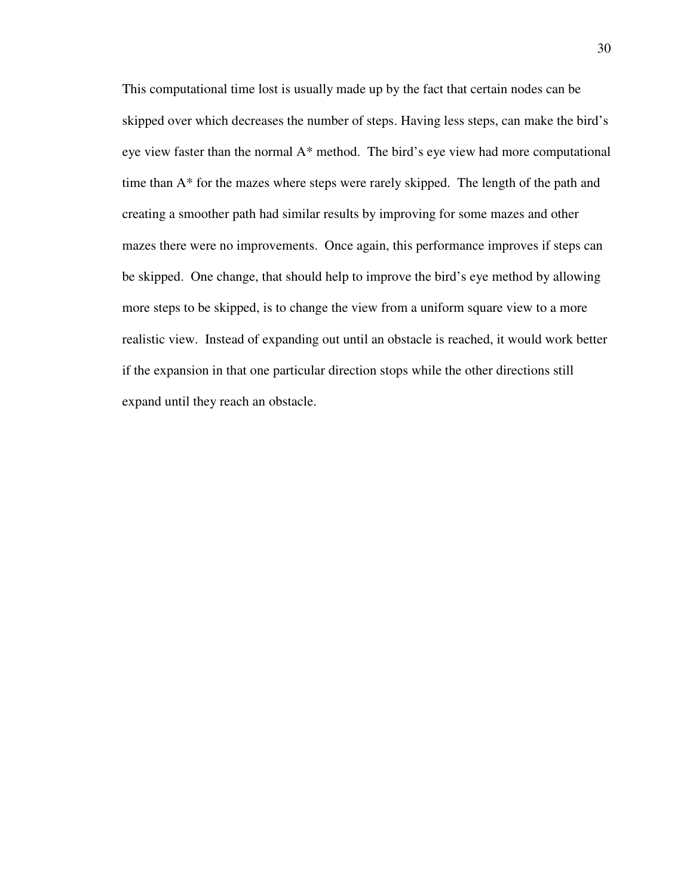This computational time lost is usually made up by the fact that certain nodes can be skipped over which decreases the number of steps. Having less steps, can make the bird's eye view faster than the normal A\* method. The bird's eye view had more computational time than A\* for the mazes where steps were rarely skipped. The length of the path and creating a smoother path had similar results by improving for some mazes and other mazes there were no improvements. Once again, this performance improves if steps can be skipped. One change, that should help to improve the bird's eye method by allowing more steps to be skipped, is to change the view from a uniform square view to a more realistic view. Instead of expanding out until an obstacle is reached, it would work better if the expansion in that one particular direction stops while the other directions still expand until they reach an obstacle.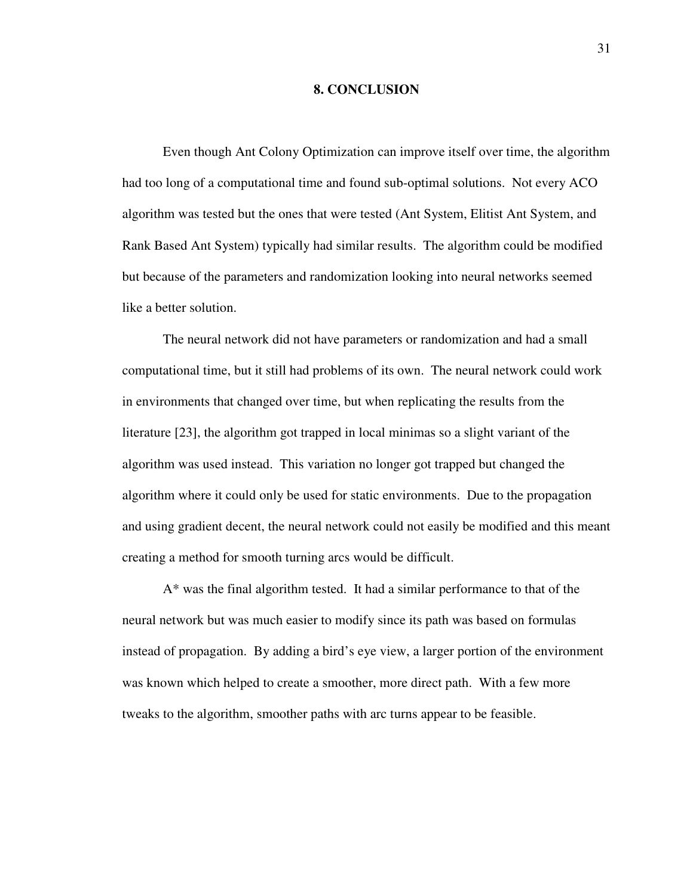#### **8. CONCLUSION**

 Even though Ant Colony Optimization can improve itself over time, the algorithm had too long of a computational time and found sub-optimal solutions. Not every ACO algorithm was tested but the ones that were tested (Ant System, Elitist Ant System, and Rank Based Ant System) typically had similar results. The algorithm could be modified but because of the parameters and randomization looking into neural networks seemed like a better solution.

 The neural network did not have parameters or randomization and had a small computational time, but it still had problems of its own. The neural network could work in environments that changed over time, but when replicating the results from the literature [23], the algorithm got trapped in local minimas so a slight variant of the algorithm was used instead. This variation no longer got trapped but changed the algorithm where it could only be used for static environments. Due to the propagation and using gradient decent, the neural network could not easily be modified and this meant creating a method for smooth turning arcs would be difficult.

 A\* was the final algorithm tested. It had a similar performance to that of the neural network but was much easier to modify since its path was based on formulas instead of propagation. By adding a bird's eye view, a larger portion of the environment was known which helped to create a smoother, more direct path. With a few more tweaks to the algorithm, smoother paths with arc turns appear to be feasible.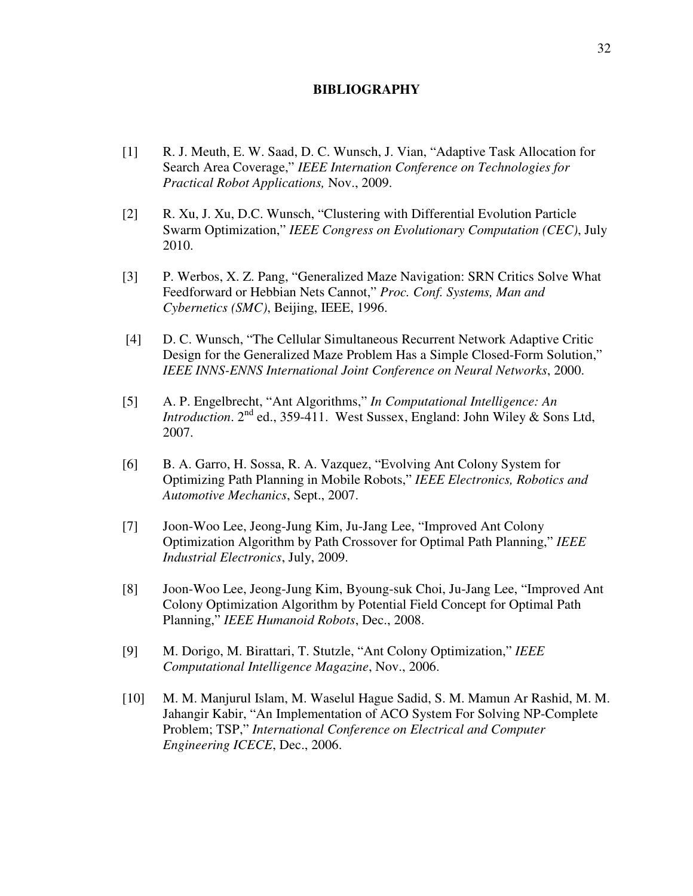### **BIBLIOGRAPHY**

- [1] R. J. Meuth, E. W. Saad, D. C. Wunsch, J. Vian, "Adaptive Task Allocation for Search Area Coverage," *IEEE Internation Conference on Technologies for Practical Robot Applications,* Nov., 2009.
- [2] R. Xu, J. Xu, D.C. Wunsch, "Clustering with Differential Evolution Particle Swarm Optimization," *IEEE Congress on Evolutionary Computation (CEC)*, July 2010.
- [3] P. Werbos, X. Z. Pang, "Generalized Maze Navigation: SRN Critics Solve What Feedforward or Hebbian Nets Cannot," *Proc. Conf. Systems, Man and Cybernetics (SMC)*, Beijing, IEEE, 1996.
- [4] D. C. Wunsch, "The Cellular Simultaneous Recurrent Network Adaptive Critic Design for the Generalized Maze Problem Has a Simple Closed-Form Solution," *IEEE INNS-ENNS International Joint Conference on Neural Networks*, 2000.
- [5] A. P. Engelbrecht, "Ant Algorithms," *In Computational Intelligence: An Introduction*. 2<sup>nd</sup> ed., 359-411. West Sussex, England: John Wiley & Sons Ltd, 2007.
- [6] B. A. Garro, H. Sossa, R. A. Vazquez, "Evolving Ant Colony System for Optimizing Path Planning in Mobile Robots," *IEEE Electronics, Robotics and Automotive Mechanics*, Sept., 2007.
- [7] Joon-Woo Lee, Jeong-Jung Kim, Ju-Jang Lee, "Improved Ant Colony Optimization Algorithm by Path Crossover for Optimal Path Planning," *IEEE Industrial Electronics*, July, 2009.
- [8] Joon-Woo Lee, Jeong-Jung Kim, Byoung-suk Choi, Ju-Jang Lee, "Improved Ant Colony Optimization Algorithm by Potential Field Concept for Optimal Path Planning," *IEEE Humanoid Robots*, Dec., 2008.
- [9] M. Dorigo, M. Birattari, T. Stutzle, "Ant Colony Optimization," *IEEE Computational Intelligence Magazine*, Nov., 2006.
- [10] M. M. Manjurul Islam, M. Waselul Hague Sadid, S. M. Mamun Ar Rashid, M. M. Jahangir Kabir, "An Implementation of ACO System For Solving NP-Complete Problem; TSP," *International Conference on Electrical and Computer Engineering ICECE*, Dec., 2006.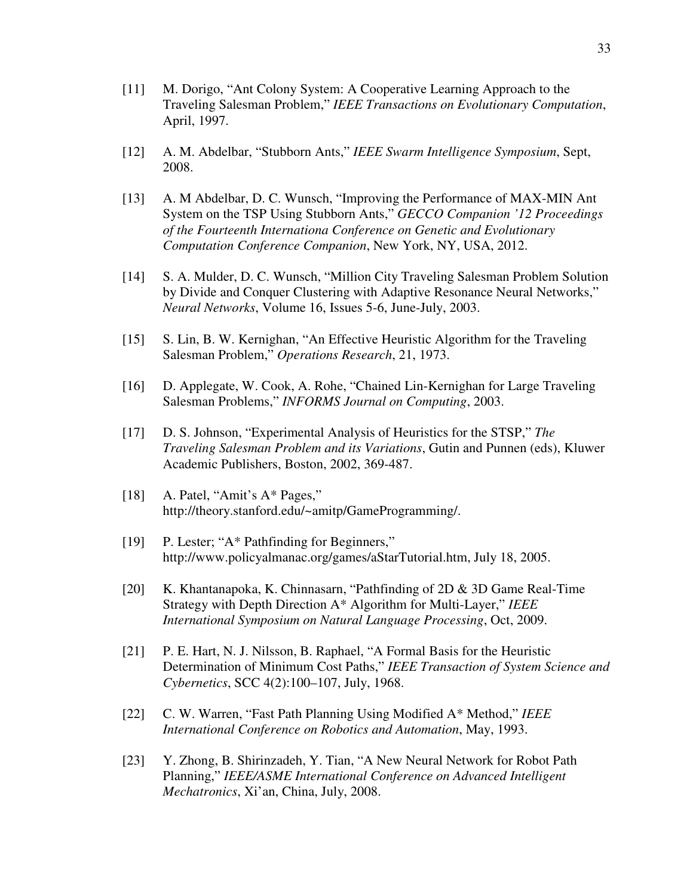- [11] M. Dorigo, "Ant Colony System: A Cooperative Learning Approach to the Traveling Salesman Problem," *IEEE Transactions on Evolutionary Computation*, April, 1997.
- [12] A. M. Abdelbar, "Stubborn Ants," *IEEE Swarm Intelligence Symposium*, Sept, 2008.
- [13] A. M Abdelbar, D. C. Wunsch, "Improving the Performance of MAX-MIN Ant System on the TSP Using Stubborn Ants," *GECCO Companion '12 Proceedings of the Fourteenth Internationa Conference on Genetic and Evolutionary Computation Conference Companion*, New York, NY, USA, 2012.
- [14] S. A. Mulder, D. C. Wunsch, "Million City Traveling Salesman Problem Solution by Divide and Conquer Clustering with Adaptive Resonance Neural Networks," *Neural Networks*, Volume 16, Issues 5-6, June-July, 2003.
- [15] S. Lin, B. W. Kernighan, "An Effective Heuristic Algorithm for the Traveling Salesman Problem," *Operations Research*, 21, 1973.
- [16] D. Applegate, W. Cook, A. Rohe, "Chained Lin-Kernighan for Large Traveling Salesman Problems," *INFORMS Journal on Computing*, 2003.
- [17] D. S. Johnson, "Experimental Analysis of Heuristics for the STSP," *The Traveling Salesman Problem and its Variations*, Gutin and Punnen (eds), Kluwer Academic Publishers, Boston, 2002, 369-487.
- [18] A. Patel, "Amit's A\* Pages," http://theory.stanford.edu/~amitp/GameProgramming/.
- [19] P. Lester; "A\* Pathfinding for Beginners," http://www.policyalmanac.org/games/aStarTutorial.htm, July 18, 2005.
- [20] K. Khantanapoka, K. Chinnasarn, "Pathfinding of 2D & 3D Game Real-Time Strategy with Depth Direction A\* Algorithm for Multi-Layer," *IEEE International Symposium on Natural Language Processing*, Oct, 2009.
- [21] P. E. Hart, N. J. Nilsson, B. Raphael, "A Formal Basis for the Heuristic Determination of Minimum Cost Paths," *IEEE Transaction of System Science and Cybernetics*, SCC 4(2):100–107, July, 1968.
- [22] C. W. Warren, "Fast Path Planning Using Modified A\* Method," *IEEE International Conference on Robotics and Automation*, May, 1993.
- [23] Y. Zhong, B. Shirinzadeh, Y. Tian, "A New Neural Network for Robot Path Planning," *IEEE/ASME International Conference on Advanced Intelligent Mechatronics*, Xi'an, China, July, 2008.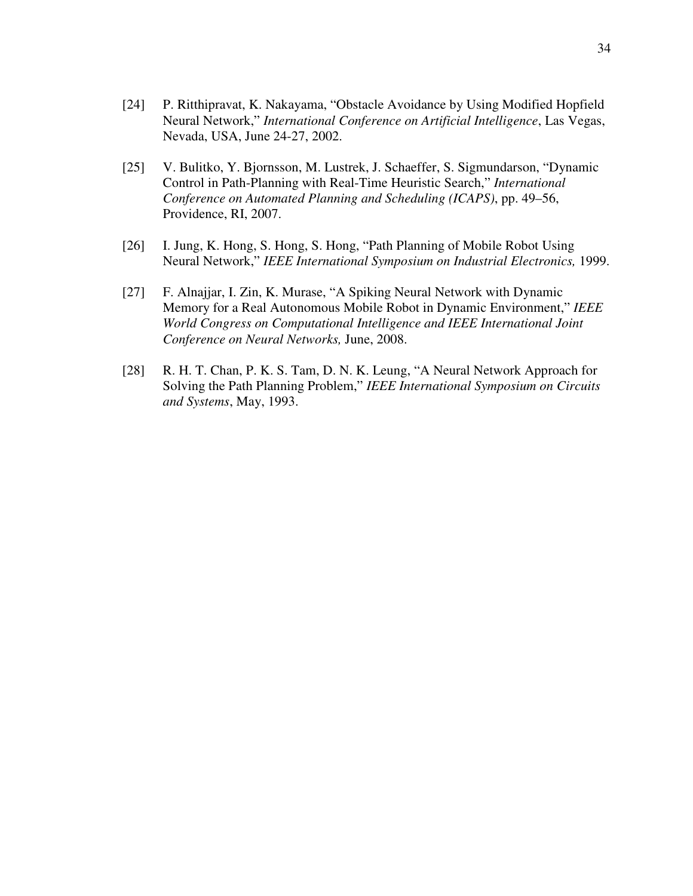- [24] P. Ritthipravat, K. Nakayama, "Obstacle Avoidance by Using Modified Hopfield Neural Network," *International Conference on Artificial Intelligence*, Las Vegas, Nevada, USA, June 24-27, 2002.
- [25] V. Bulitko, Y. Bjornsson, M. Lustrek, J. Schaeffer, S. Sigmundarson, "Dynamic Control in Path-Planning with Real-Time Heuristic Search," *International Conference on Automated Planning and Scheduling (ICAPS)*, pp. 49–56, Providence, RI, 2007.
- [26] I. Jung, K. Hong, S. Hong, S. Hong, "Path Planning of Mobile Robot Using Neural Network," *IEEE International Symposium on Industrial Electronics,* 1999.
- [27] F. Alnajjar, I. Zin, K. Murase, "A Spiking Neural Network with Dynamic Memory for a Real Autonomous Mobile Robot in Dynamic Environment," *IEEE World Congress on Computational Intelligence and IEEE International Joint Conference on Neural Networks,* June, 2008.
- [28] R. H. T. Chan, P. K. S. Tam, D. N. K. Leung, "A Neural Network Approach for Solving the Path Planning Problem," *IEEE International Symposium on Circuits and Systems*, May, 1993.